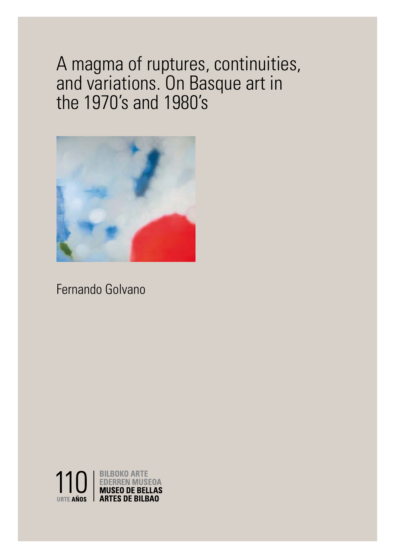# A magma of ruptures, continuities, and variations. On Basque art in the 1970's and 1980's



## Fernando Golvano



1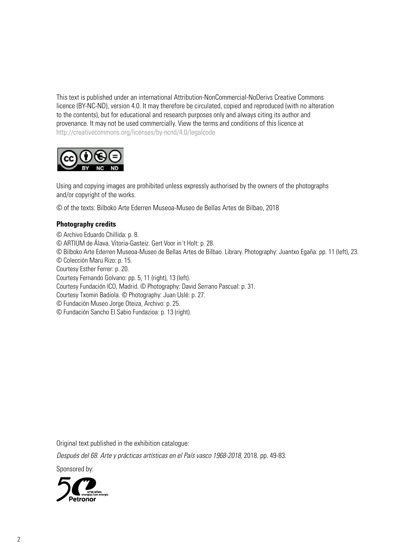This text is published under an international Attribution-NonCommercial-NoDerivs Creative Commons licence (BY-NC-ND), version 4.0. It may therefore be circulated, copied and reproduced (with no alteration to the contents), but for educational and research purposes only and always citing its author and provenance. It may not be used commercially. View the terms and conditions of this licence at http://creativecommons.org/licenses/by-ncnd/4.0/legalcode



Using and copying images are prohibited unless expressly authorised by the owners of the photographs and/or copyright of the works.

© of the texts: Bilboko Arte Ederren Museoa-Museo de Bellas Artes de Bilbao, 2018

#### **Photography credits**

© Archivo Eduardo Chillida: p. 8.

© ARTIUM de Álava. Vitoria-Gasteiz. Gert Voor in´t Holt: p. 28.

© Bilboko Arte Ederren Museoa-Museo de Bellas Artes de Bilbao. Library. Photography: Juantxo Egaña: pp. 11 (left), 23.

© Colección Maru Rizo: p. 15.

Courtesy Esther Ferrer: p. 20.

Courtesy Fernando Golvano: pp. 5, 11 (right), 13 (left).

Courtesy Fundación ICO, Madrid. © Photography: David Serrano Pascual: p. 31.

Courtesy Txomin Badiola. © Photography: Juan Uslé: p. 27.

© Fundación Museo Jorge Oteiza, Archivo: p. 25.

© Fundación Sancho El Sabio Fundazioa: p. 13 (right).

Original text published in the exhibition catalogue:

Después del 68. Arte y prácticas artísticas en el País vasco 1968-2018, 2018. pp. 49-83.

Sponsored by:

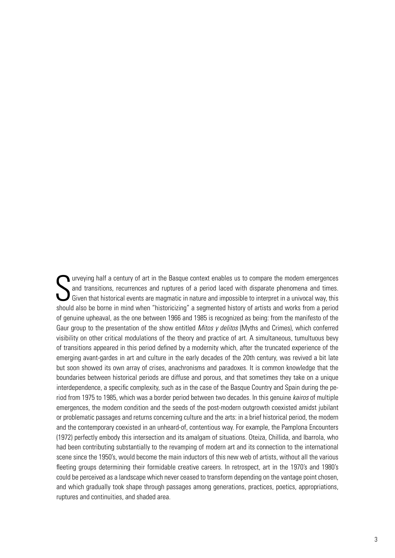S urveying half a century of art in the Basque context enables us to compare the modern emergences and transitions, recurrences and ruptures of a period laced with disparate phenomena and times. Given that historical events are magmatic in nature and impossible to interpret in a univocal way, this should also be borne in mind when "historicizing" a segmented history of artists and works from a period of genuine upheaval, as the one between 1966 and 1985 is recognized as being: from the manifesto of the Gaur group to the presentation of the show entitled *Mitos y delitos* (Myths and Crimes), which conferred visibility on other critical modulations of the theory and practice of art. A simultaneous, tumultuous bevy of transitions appeared in this period defined by a modernity which, after the truncated experience of the emerging avant-gardes in art and culture in the early decades of the 20th century, was revived a bit late but soon showed its own array of crises, anachronisms and paradoxes. It is common knowledge that the boundaries between historical periods are diffuse and porous, and that sometimes they take on a unique interdependence, a specific complexity, such as in the case of the Basque Country and Spain during the period from 1975 to 1985, which was a border period between two decades. In this genuine *kairos* of multiple emergences, the modern condition and the seeds of the post-modern outgrowth coexisted amidst jubilant or problematic passages and returns concerning culture and the arts: in a brief historical period, the modern and the contemporary coexisted in an unheard-of, contentious way. For example, the Pamplona Encounters (1972) perfectly embody this intersection and its amalgam of situations. Oteiza, Chillida, and Ibarrola, who had been contributing substantially to the revamping of modern art and its connection to the international scene since the 1950's, would become the main inductors of this new web of artists, without all the various fleeting groups determining their formidable creative careers. In retrospect, art in the 1970's and 1980's could be perceived as a landscape which never ceased to transform depending on the vantage point chosen, and which gradually took shape through passages among generations, practices, poetics, appropriations, ruptures and continuities, and shaded area.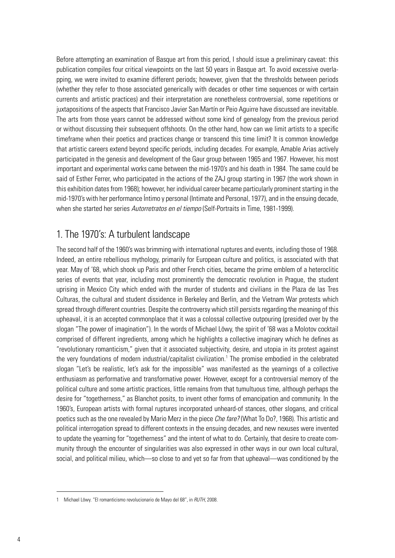Before attempting an examination of Basque art from this period, I should issue a preliminary caveat: this publication compiles four critical viewpoints on the last 50 years in Basque art. To avoid excessive overlapping, we were invited to examine different periods; however, given that the thresholds between periods (whether they refer to those associated generically with decades or other time sequences or with certain currents and artistic practices) and their interpretation are nonetheless controversial, some repetitions or juxtapositions of the aspects that Francisco Javier San Martín or Peio Aguirre have discussed are inevitable. The arts from those years cannot be addressed without some kind of genealogy from the previous period or without discussing their subsequent offshoots. On the other hand, how can we limit artists to a specific timeframe when their poetics and practices change or transcend this time limit? It is common knowledge that artistic careers extend beyond specific periods, including decades. For example, Amable Arias actively participated in the genesis and development of the Gaur group between 1965 and 1967. However, his most important and experimental works came between the mid-1970's and his death in 1984. The same could be said of Esther Ferrer, who participated in the actions of the ZAJ group starting in 1967 (the work shown in this exhibition dates from 1968); however, her individual career became particularly prominent starting in the mid-1970's with her performance Íntimo y personal (Intimate and Personal, 1977), and in the ensuing decade, when she started her series *Autorretratos en el tiempo* (Self-Portraits in Time, 1981-1999).

#### 1. The 1970's: A turbulent landscape

The second half of the 1960's was brimming with international ruptures and events, including those of 1968. Indeed, an entire rebellious mythology, primarily for European culture and politics, is associated with that year. May of '68, which shook up Paris and other French cities, became the prime emblem of a heteroclitic series of events that year, including most prominently the democratic revolution in Prague, the student uprising in Mexico City which ended with the murder of students and civilians in the Plaza de las Tres Culturas, the cultural and student dissidence in Berkeley and Berlin, and the Vietnam War protests which spread through different countries. Despite the controversy which still persists regarding the meaning of this upheaval, it is an accepted commonplace that it was a colossal collective outpouring (presided over by the slogan "The power of imagination"). In the words of Michael Löwy, the spirit of '68 was a Molotov cocktail comprised of different ingredients, among which he highlights a collective imaginary which he defines as "revolutionary romanticism," given that it associated subjectivity, desire, and utopia in its protest against the very foundations of modern industrial/capitalist civilization.<sup>1</sup> The promise embodied in the celebrated slogan "Let's be realistic, let's ask for the impossible" was manifested as the yearnings of a collective enthusiasm as performative and transformative power. However, except for a controversial memory of the political culture and some artistic practices, little remains from that tumultuous time, although perhaps the desire for "togetherness," as Blanchot posits, to invent other forms of emancipation and community. In the 1960's, European artists with formal ruptures incorporated unheard-of stances, other slogans, and critical poetics such as the one revealed by Mario Merz in the piece *Che fare?* (What To Do?, 1968). This artistic and political interrogation spread to different contexts in the ensuing decades, and new nexuses were invented to update the yearning for "togetherness" and the intent of what to do. Certainly, that desire to create community through the encounter of singularities was also expressed in other ways in our own local cultural, social, and political milieu, which—so close to and yet so far from that upheaval—was conditioned by the

<sup>1</sup> Michael Löwy. "El romanticismo revolucionario de Mayo del 68", in *RUTH*, 2008.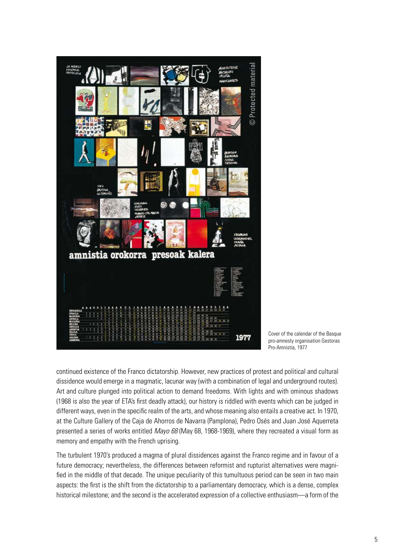

Cover of the calendar of the Basque pro-amnesty organisation Gestoras Pro-Amnistía, 1977

continued existence of the Franco dictatorship. However, new practices of protest and political and cultural dissidence would emerge in a magmatic, lacunar way (with a combination of legal and underground routes). Art and culture plunged into political action to demand freedoms. With lights and with ominous shadows (1968 is also the year of ETA's first deadly attack), our history is riddled with events which can be judged in different ways, even in the specific realm of the arts, and whose meaning also entails a creative act. In 1970, at the Culture Gallery of the Caja de Ahorros de Navarra (Pamplona), Pedro Osés and Juan José Aquerreta presented a series of works entitled *Mayo 68* (May 68, 1968-1969), where they recreated a visual form as memory and empathy with the French uprising.

The turbulent 1970's produced a magma of plural dissidences against the Franco regime and in favour of a future democracy; nevertheless, the differences between reformist and rupturist alternatives were magnified in the middle of that decade. The unique peculiarity of this tumultuous period can be seen in two main aspects: the first is the shift from the dictatorship to a parliamentary democracy, which is a dense, complex historical milestone; and the second is the accelerated expression of a collective enthusiasm—a form of the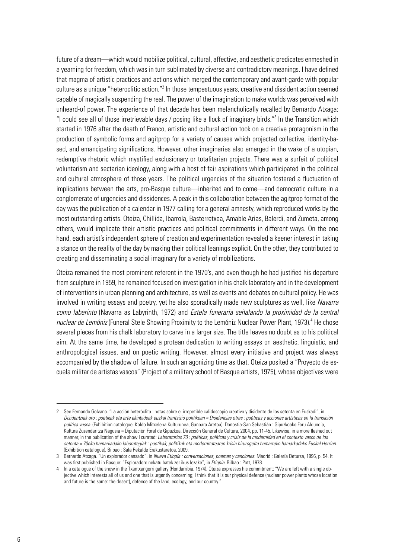future of a dream—which would mobilize political, cultural, affective, and aesthetic predicates enmeshed in a yearning for freedom, which was in turn sublimated by diverse and contradictory meanings. I have defined that magma of artistic practices and actions which merged the contemporary and avant-garde with popular culture as a unique "heteroclitic action."<sup>2</sup> In those tempestuous years, creative and dissident action seemed capable of magically suspending the real. The power of the imagination to make worlds was perceived with unheard-of power. The experience of that decade has been melancholically recalled by Bernardo Atxaga: "I could see all of those irretrievable days / posing like a flock of imaginary birds."3 In the Transition which started in 1976 after the death of Franco, artistic and cultural action took on a creative protagonism in the production of symbolic forms and agitprop for a variety of causes which projected collective, identity-based, and emancipating significations. However, other imaginaries also emerged in the wake of a utopian, redemptive rhetoric which mystified exclusionary or totalitarian projects. There was a surfeit of political voluntarism and sectarian ideology, along with a host of fair aspirations which participated in the political and cultural atmosphere of those years. The political urgencies of the situation fostered a fluctuation of implications between the arts, pro-Basque culture—inherited and to come—and democratic culture in a conglomerate of urgencies and dissidences. A peak in this collaboration between the agitprop format of the day was the publication of a calendar in 1977 calling for a general amnesty, which reproduced works by the most outstanding artists. Oteiza, Chillida, Ibarrola, Basterretxea, Amable Arias, Balerdi, and Zumeta, among others, would implicate their artistic practices and political commitments in different ways. On the one hand, each artist's independent sphere of creation and experimentation revealed a keener interest in taking a stance on the reality of the day by making their political leanings explicit. On the other, they contributed to creating and disseminating a social imaginary for a variety of mobilizations.

Oteiza remained the most prominent referent in the 1970's, and even though he had justified his departure from sculpture in 1959, he remained focused on investigation in his chalk laboratory and in the development of interventions in urban planning and architecture, as well as events and debates on cultural policy. He was involved in writing essays and poetry, yet he also sporadically made new sculptures as well, like *Navarra como laberinto* (Navarra as Labyrinth, 1972) and *Estela funeraria señalando la proximidad de la central*  nuclear de Lemóniz (Funeral Stele Showing Proximity to the Lemóniz Nuclear Power Plant, 1973).<sup>4</sup> He chose several pieces from his chalk laboratory to carve in a larger size. The title leaves no doubt as to his political aim. At the same time, he developed a protean dedication to writing essays on aesthetic, linguistic, and anthropological issues, and on poetic writing. However, almost every initiative and project was always accompanied by the shadow of failure. In such an agonizing time as that, Oteiza posited a "Proyecto de escuela militar de artistas vascos" (Project of a military school of Basque artists, 1975), whose objectives were

<sup>2</sup> See Fernando Golvano. "La acción heteróclita : notas sobre el irrepetible calidoscopio creativo y disidente de los setenta en Euskadi", in *Disidentziak oro : poetikak eta arte ekinbideak euskal trantsizio politikoan = Disidencias otras : poéticas y acciones artísticas en la transición política vasca.* (Exhibition catalogue, Koldo Mitxelena Kulturunea, Ganbara Aretoa). Donostia-San Sebastián : Gipuzkoako Foru Aldundia, Kultura Zuzendaritza Nagusia = Diputación Foral de Gipuzkoa, Dirección General de Cultura, 2004, pp. 11-45. Likewise, in a more fleshed out manner, in the publication of the show I curated: *Laboratorios 70 : poéticas, políticas y crisis de la modernidad en el contexto vasco de los setenta = 70eko hamarkadako laborategiak : poetikak, politikak eta modernitatearen krisia hirurogeita hamarreko hamarkadako Euskal Herrian*. (Exhibition catalogue). Bilbao : Sala Rekalde Erakustaretoa, 2009.

<sup>3</sup> Bernardo Atxaga. "Un explorador cansado", in *Nueva Etiopía : conversaciones, poemas y canciones.* Madrid : Galería Detursa, 1996, p. 54. It was first published in Basque: "Esploradore nekatu batek zer ikus lezake", in *Etiopía.* Bilbao : Pott, 1978.

<sup>4</sup> In a catalogue of the show in the Txantxangorri gallery (Hondarribia, 1974), Oteiza expresses his commitment: "We are left with a single objective which interests all of us and one that is urgently concerning; I think that it is our physical defence (nuclear power plants whose location and future is the same: the desert), defence of the land, ecology, and our country."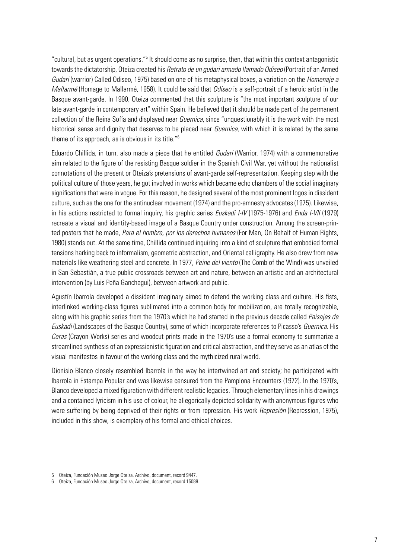"cultural, but as urgent operations."<sup>5</sup> It should come as no surprise, then, that within this context antagonistic towards the dictatorship, Oteiza created his *Retrato de un gudari armado llamado Odiseo* (Portrait of an Armed *Gudari* (warrior) Called Odiseo, 1975) based on one of his metaphysical boxes, a variation on the *Homenaje a Mallarmé* (Homage to Mallarmé, 1958). It could be said that *Odiseo* is a self-portrait of a heroic artist in the Basque avant-garde. In 1990, Oteiza commented that this sculpture is "the most important sculpture of our late avant-garde in contemporary art" within Spain. He believed that it should be made part of the permanent collection of the Reina Sofía and displayed near *Guernica*, since "unquestionably it is the work with the most historical sense and dignity that deserves to be placed near *Guernica*, with which it is related by the same theme of its approach, as is obvious in its title."6

Eduardo Chillida, in turn, also made a piece that he entitled *Gudari* (Warrior, 1974) with a commemorative aim related to the figure of the resisting Basque soldier in the Spanish Civil War, yet without the nationalist connotations of the present or Oteiza's pretensions of avant-garde self-representation. Keeping step with the political culture of those years, he got involved in works which became echo chambers of the social imaginary significations that were in vogue. For this reason, he designed several of the most prominent logos in dissident culture, such as the one for the antinuclear movement (1974) and the pro-amnesty advocates (1975). Likewise, in his actions restricted to formal inquiry, his graphic series *Euskadi I-IV* (1975-1976) and *Enda I-VII* (1979) recreate a visual and identity-based image of a Basque Country under construction. Among the screen-printed posters that he made, *Para el hombre, por los derechos humanos* (For Man, On Behalf of Human Rights, 1980) stands out. At the same time, Chillida continued inquiring into a kind of sculpture that embodied formal tensions harking back to informalism, geometric abstraction, and Oriental calligraphy. He also drew from new materials like weathering steel and concrete. In 1977, *Peine del viento* (The Comb of the Wind) was unveiled in San Sebastián, a true public crossroads between art and nature, between an artistic and an architectural intervention (by Luis Peña Ganchegui), between artwork and public.

Agustín Ibarrola developed a dissident imaginary aimed to defend the working class and culture. His fists, interlinked working-class figures sublimated into a common body for mobilization, are totally recognizable, along with his graphic series from the 1970's which he had started in the previous decade called *Paisajes de Euskadi* (Landscapes of the Basque Country), some of which incorporate references to Picasso's *Guernica*. His *Ceras* (Crayon Works) series and woodcut prints made in the 1970's use a formal economy to summarize a streamlined synthesis of an expressionistic figuration and critical abstraction, and they serve as an atlas of the visual manifestos in favour of the working class and the mythicized rural world.

Dionisio Blanco closely resembled Ibarrola in the way he intertwined art and society; he participated with Ibarrola in Estampa Popular and was likewise censured from the Pamplona Encounters (1972). In the 1970's, Blanco developed a mixed figuration with different realistic legacies. Through elementary lines in his drawings and a contained lyricism in his use of colour, he allegorically depicted solidarity with anonymous figures who were suffering by being deprived of their rights or from repression. His work *Represión* (Repression, 1975), included in this show, is exemplary of his formal and ethical choices.

<sup>5</sup> Oteiza, Fundación Museo Jorge Oteiza, Archivo, document, record 9447.

<sup>6</sup> Oteiza, Fundación Museo Jorge Oteiza, Archivo, document, record 15088.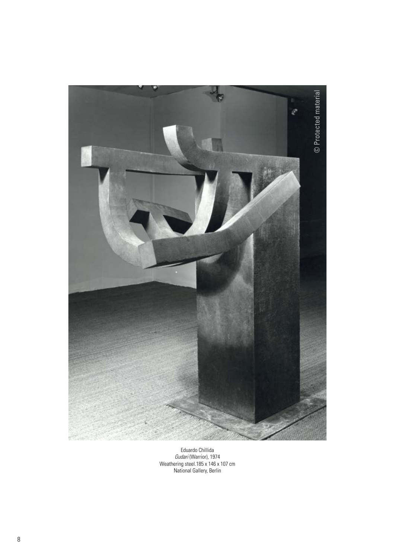

Eduardo Chillida *Gudari* (Warrior)*,* 1974 Weathering steel.185 x 146 x 107 cm National Gallery, Berlin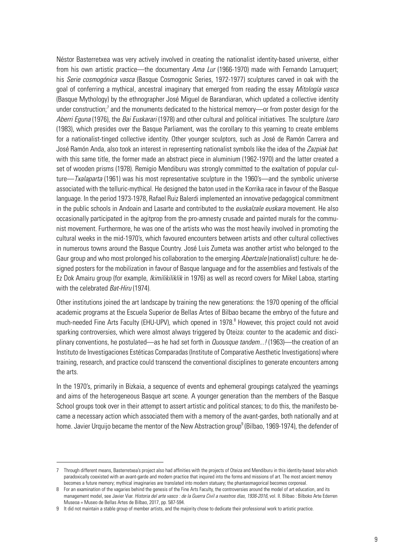Néstor Basterretxea was very actively involved in creating the nationalist identity-based universe, either from his own artistic practice—the documentary *Ama Lur* (1966-1970) made with Fernando Larruquert; his *Serie cosmogónica vasca* (Basque Cosmogonic Series, 1972-1977) sculptures carved in oak with the goal of conferring a mythical, ancestral imaginary that emerged from reading the essay *Mitología vasca*  (Basque Mythology) by the ethnographer José Miguel de Barandiaran, which updated a collective identity under construction;<sup>7</sup> and the monuments dedicated to the historical memory—or from poster design for the *Aberri Eguna* (1976), the *Bai Euskarari* (1978) and other cultural and political initiatives. The sculpture *Izaro* (1983), which presides over the Basque Parliament, was the corollary to this yearning to create emblems for a nationalist-tinged collective identity. Other younger sculptors, such as José de Ramón Carrera and José Ramón Anda, also took an interest in representing nationalist symbols like the idea of the *Zazpiak bat*: with this same title, the former made an abstract piece in aluminium (1962-1970) and the latter created a set of wooden prisms (1978). Remigio Mendiburu was strongly committed to the exaltation of popular culture—*Txalaparta* (1961) was his most representative sculpture in the 1960's—and the symbolic universe associated with the telluric-mythical. He designed the baton used in the Korrika race in favour of the Basque language. In the period 1973-1978, Rafael Ruiz Balerdi implemented an innovative pedagogical commitment in the public schools in Andoain and Lasarte and contributed to the *euskalzale euskara* movement. He also occasionally participated in the agitprop from the pro-amnesty crusade and painted murals for the communist movement. Furthermore, he was one of the artists who was the most heavily involved in promoting the cultural weeks in the mid-1970's, which favoured encounters between artists and other cultural collectives in numerous towns around the Basque Country. José Luis Zumeta was another artist who belonged to the Gaur group and who most prolonged his collaboration to the emerging *Abertzale* (nationalist) culture: he designed posters for the mobilization in favour of Basque language and for the assemblies and festivals of the Ez Dok Amairu group (for example, *Ikimilikiliklik* in 1976) as well as record covers for Mikel Laboa, starting with the celebrated *Bat-Hiru* (1974).

Other institutions joined the art landscape by training the new generations: the 1970 opening of the official academic programs at the Escuela Superior de Bellas Artes of Bilbao became the embryo of the future and much-needed Fine Arts Faculty (EHU-UPV), which opened in 1978.<sup>8</sup> However, this project could not avoid sparking controversies, which were almost always triggered by Oteiza: counter to the academic and disciplinary conventions, he postulated—as he had set forth in *Quousque tandem...!* (1963)—the creation of an Instituto de Investigaciones Estéticas Comparadas (Institute of Comparative Aesthetic Investigations) where training, research, and practice could transcend the conventional disciplines to generate encounters among the arts.

In the 1970's, primarily in Bizkaia, a sequence of events and ephemeral groupings catalyzed the yearnings and aims of the heterogeneous Basque art scene. A younger generation than the members of the Basque School groups took over in their attempt to assert artistic and political stances; to do this, the manifesto became a necessary action which associated them with a memory of the avant-gardes, both nationally and at home. Javier Urquijo became the mentor of the New Abstraction group<sup>9</sup> (Bilbao, 1969-1974), the defender of

<sup>7</sup> Through different means, Basterretxea's project also had affinities with the projects of Oteiza and Mendiburu in this identity-based *telos* which paradoxically coexisted with an avant-garde and modern practice that inquired into the forms and missions of art. The most ancient memory becomes a future memory; mythical imaginaries are translated into modern statuary; the phantasmagorical becomes corporeal.

<sup>8</sup> For an examination of the vagaries behind the genesis of the Fine Arts Faculty, the controversies around the model of art education, and its management model, see Javier Viar. *Historia del arte vasco : de la Guerra Civil a nuestros días, 1936-2016*, vol. II. Bilbao : Bilboko Arte Ederren Museoa = Museo de Bellas Artes de Bilbao, 2017, pp. 587-594.

<sup>9</sup> It did not maintain a stable group of member artists, and the majority chose to dedicate their professional work to artistic practice.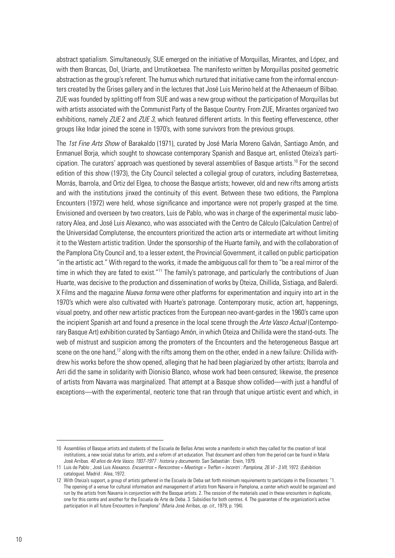abstract spatialism. Simultaneously, SUE emerged on the initiative of Morquillas, Mirantes, and López, and with them Brancas, Dol, Uriarte, and Urrutikoetxea. The manifesto written by Morquillas posited geometric abstraction as the group's referent. The humus which nurtured that initiative came from the informal encounters created by the Grises gallery and in the lectures that José Luis Merino held at the Athenaeum of Bilbao. ZUE was founded by splitting off from SUE and was a new group without the participation of Morquillas but with artists associated with the Communist Party of the Basque Country. From ZUE, Mirantes organized two exhibitions, namely *ZUE* 2 and *ZUE 3*, which featured different artists. In this fleeting effervescence, other groups like Indar joined the scene in 1970's, with some survivors from the previous groups.

The *1st Fine Arts Show* of Barakaldo (1971), curated by José María Moreno Galván, Santiago Amón, and Enmanuel Borja, which sought to showcase contemporary Spanish and Basque art, enlisted Oteiza's participation. The curators' approach was questioned by several assemblies of Basque artists.<sup>10</sup> For the second edition of this show (1973), the City Council selected a collegial group of curators, including Basterretxea, Morrás, Ibarrola, and Ortiz del Elgea, to choose the Basque artists; however, old and new rifts among artists and with the institutions jinxed the continuity of this event. Between these two editions, the Pamplona Encounters (1972) were held, whose significance and importance were not properly grasped at the time. Envisioned and overseen by two creators, Luis de Pablo, who was in charge of the experimental music laboratory Alea, and José Luis Alexanco, who was associated with the Centro de Cálculo (Calculation Centre) of the Universidad Complutense, the encounters prioritized the action arts or intermediate art without limiting it to the Western artistic tradition. Under the sponsorship of the Huarte family, and with the collaboration of the Pamplona City Council and, to a lesser extent, the Provincial Government, it called on public participation "in the artistic act." With regard to the works, it made the ambiguous call for them to "be a real mirror of the time in which they are fated to exist."<sup>11</sup> The family's patronage, and particularly the contributions of Juan Huarte, was decisive to the production and dissemination of works by Oteiza, Chillida, Sistiaga, and Balerdi. X Films and the magazine *Nueva forma* were other platforms for experimentation and inquiry into art in the 1970's which were also cultivated with Huarte's patronage. Contemporary music, action art, happenings, visual poetry, and other new artistic practices from the European neo-avant-gardes in the 1960's came upon the incipient Spanish art and found a presence in the local scene through the *Arte Vasco Actual* (Contemporary Basque Art) exhibition curated by Santiago Amón, in which Oteiza and Chillida were the stand-outs. The web of mistrust and suspicion among the promoters of the Encounters and the heterogeneous Basque art scene on the one hand,<sup>12</sup> along with the rifts among them on the other, ended in a new failure: Chillida withdrew his works before the show opened, alleging that he had been plagiarized by other artists; Ibarrola and Arri did the same in solidarity with Dionisio Blanco, whose work had been censured; likewise, the presence of artists from Navarra was marginalized. That attempt at a Basque show collided—with just a handful of exceptions—with the experimental, neoteric tone that ran through that unique artistic event and which, in

<sup>10</sup> Assemblies of Basque artists and students of the Escuela de Bellas Artes wrote a manifesto in which they called for the creation of local institutions, a new social status for artists, and a reform of art education. That document and others from the period can be found in María José Arribas. *40 años de Arte Vasco, 1937-1977 : historia y documento*. San Sebastián : Erein, 1979.

<sup>11</sup> Luis de Pablo ; José Luis Alexanco. *Encuentros = Rencontres = Meetings = Treffen = Incontri : Pamplona, 26.VI - 3.VII*, 1972. (Exhibition catalogue). Madrid : Alea, 1972.

<sup>12</sup> With Oteiza's support, a group of artists gathered in the Escuela de Deba set forth minimum requirements to participate in the Encounters: "1. The opening of a venue for cultural information and management of artists from Navarra in Pamplona, a center which would be organized and run by the artists from Navarra in conjunction with the Basque artists. 2. The cession of the materials used in these encounters in duplicate, one for this centre and another for the Escuela de Arte de Deba. 3. Subsidies for both centres. 4. The guarantee of the organization's active participation in all future Encounters in Pamplona" (María José Arribas, *op. cit.,* 1979, p. 194).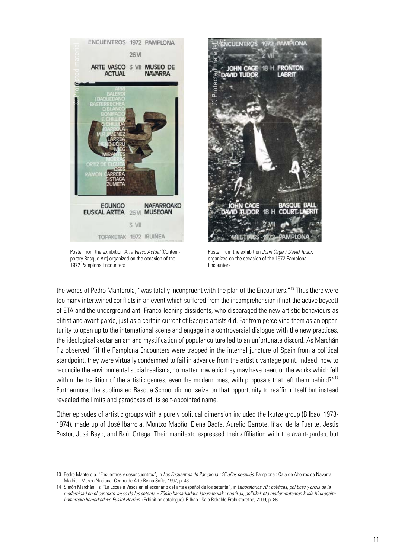

Poster from the exhibition *Arte Vasco Actual* (Contemporary Basque Art) organized on the occasion of the 1972 Pamplona Encounters



Poster from the exhibition *John Cage / David Tudor*, organized on the occasion of the 1972 Pamplona **Encounters** 

the words of Pedro Manterola, "was totally incongruent with the plan of the Encounters."<sup>13</sup> Thus there were too many intertwined conflicts in an event which suffered from the incomprehension if not the active boycott of ETA and the underground anti-Franco-leaning dissidents, who disparaged the new artistic behaviours as elitist and avant-garde, just as a certain current of Basque artists did. Far from perceiving them as an opportunity to open up to the international scene and engage in a controversial dialogue with the new practices, the ideological sectarianism and mystification of popular culture led to an unfortunate discord. As Marchán Fiz observed, "if the Pamplona Encounters were trapped in the internal juncture of Spain from a political standpoint, they were virtually condemned to fail in advance from the artistic vantage point. Indeed, how to reconcile the environmental social realisms, no matter how epic they may have been, or the works which fell within the tradition of the artistic genres, even the modern ones, with proposals that left them behind?"<sup>14</sup> Furthermore, the sublimated Basque School did not seize on that opportunity to reaffirm itself but instead revealed the limits and paradoxes of its self-appointed name.

Other episodes of artistic groups with a purely political dimension included the Ikutze group (Bilbao, 1973- 1974), made up of José Ibarrola, Montxo Maoño, Elena Badía, Aurelio Garrote, Iñaki de la Fuente, Jesús Pastor, José Bayo, and Raúl Ortega. Their manifesto expressed their affiliation with the avant-gardes, but

<sup>13</sup> Pedro Manterola. "Encuentros y desencuentros", in *Los Encuentros de Pamplona : 25 años después.* Pamplona : Caja de Ahorros de Navarra; Madrid : Museo Nacional Centro de Arte Reina Sofía, 1997, p. 43.

<sup>14</sup> Simón Marchán Fiz. "La Escuela Vasca en el escenario del arte español de los setenta", in *Laboratorios 70 : po*é*ticas, pol*í*ticas y crisis de la modernidad en el contexto vasco de los setenta = 70eko hamarkadako laborategiak : poetikak, politikak eta modernitatearen krisia hirurogeita hamarreko hamarkadako Euskal Herrian*. (Exhibition catalogue). Bilbao : Sala Rekalde Erakustaretoa, 2009, p. 86.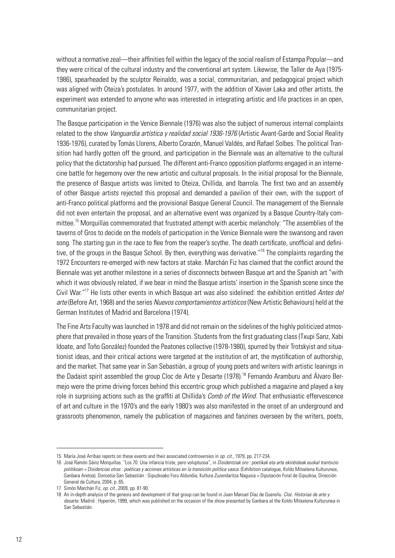without a normative zeal—their affinities fell within the legacy of the social realism of Estampa Popular—and they were critical of the cultural industry and the conventional art system. Likewise, the Taller de Aya (1975- 1986), spearheaded by the sculptor Reinaldo, was a social, communitarian, and pedagogical project which was aligned with Oteiza's postulates. In around 1977, with the addition of Xavier Laka and other artists, the experiment was extended to anyone who was interested in integrating artistic and life practices in an open, communitarian project.

The Basque participation in the Venice Biennale (1976) was also the subject of numerous internal complaints related to the show *Vanguardia artística y realidad social 1936-1976* (Artistic Avant-Garde and Social Reality 1936-1976), curated by Tomàs Llorens, Alberto Corazón, Manuel Valdés, and Rafael Solbes. The political Transition had hardly gotten off the ground, and participation in the Biennale was an alternative to the cultural policy that the dictatorship had pursued. The different anti-Franco opposition platforms engaged in an internecine battle for hegemony over the new artistic and cultural proposals. In the initial proposal for the Biennale, the presence of Basque artists was limited to Oteiza, Chillida, and Ibarrola. The first two and an assembly of other Basque artists rejected this proposal and demanded a pavilion of their own, with the support of anti-Franco political platforms and the provisional Basque General Council. The management of the Biennale did not even entertain the proposal, and an alternative event was organized by a Basque Country-Italy committee.15 Morquillas commemorated that frustrated attempt with acerbic melancholy: "The assemblies of the taverns of Gros to decide on the models of participation in the Venice Biennale were the swansong and raven song. The starting gun in the race to flee from the reaper's scythe. The death certificate, unofficial and definitive, of the groups in the Basque School. By then, everything was derivative."<sup>16</sup> The complaints regarding the 1972 Encounters re-emerged with new factors at stake. Marchán Fiz has claimed that the conflict around the Biennale was yet another milestone in a series of disconnects between Basque art and the Spanish art "with which it was obviously related, if we bear in mind the Basque artists' insertion in the Spanish scene since the Civil War."17 He lists other events in which Basque art was also sidelined: the exhibition entitled *Antes del arte* (Before Art, 1968) and the series *Nuevos comportamientos artísticos* (New Artistic Behaviours) held at the German Institutes of Madrid and Barcelona (1974).

The Fine Arts Faculty was launched in 1978 and did not remain on the sidelines of the highly politicized atmosphere that prevailed in those years of the Transition. Students from the first graduating class (Txupi Sanz, Xabi Idoate, and Toño González) founded the Peatones collective (1978-1980), spurred by their Trotskyist and situationist ideas, and their critical actions were targeted at the institution of art, the mystification of authorship, and the market. That same year in San Sebastián, a group of young poets and writers with artistic leanings in the Dadaist spirit assembled the group Cloc de Arte y Desarte (1978).<sup>18</sup> Fernando Aramburu and Álvaro Bermejo were the prime driving forces behind this eccentric group which published a magazine and played a key role in surprising actions such as the graffiti at Chillida's *Comb of the Wind*. That enthusiastic effervescence of art and culture in the 1970's and the early 1980's was also manifested in the onset of an underground and grassroots phenomenon, namely the publication of magazines and fanzines overseen by the writers, poets,

<sup>15</sup> María José Arribas reports on these events and their associated controversies in *op. cit.,* 1979, pp. 217-234.

<sup>16</sup> José Ramón Sáinz Morquillas. "Los 70. Una infancia triste, pero voluptuosa", in *Disidentziak oro : poetikak eta arte ekinbideak euskal trantsizio politikoan = Disidencias otras : poéticas y acciones artísticas en la transición política vasca.* (Exhibition catalogue, Koldo Mitxelena Kulturunea, Ganbara Aretoa). Donostia-San Sebastián : Gipuzkoako Foru Aldundia, Kultura Zuzendaritza Nagusia = Diputación Foral de Gipuzkoa, Dirección General de Cultura, 2004, p. 65.

<sup>17</sup> Simón Marchán Fiz, *op. cit*., 2009, pp. 81-90.

<sup>18</sup> An in-depth analysis of the genesis and development of that group can be found in Juan Manuel Díaz de Guereñu. *Cloc. Historias de arte y desarte*. Madrid : Hyperión, 1999, which was published on the occasion of the show presented by Ganbara at the Koldo Mitxelena Kulturunea in San Sebastián.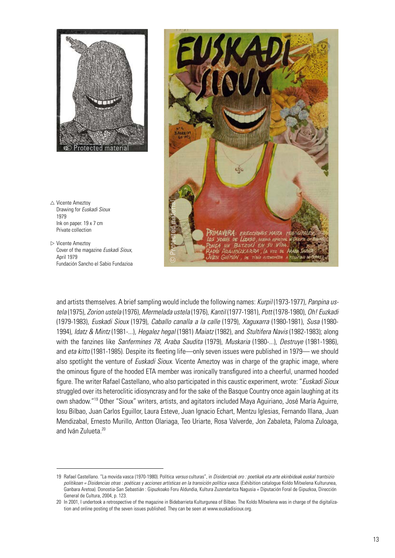

- $\triangle$  Vicente Ameztoy Drawing for *Euskadi Sioux* 1979 Ink on paper. 19 x 7 cm Private collection
- $\triangleright$  Vicente Ameztoy Cover of the magazine *Euskadi Sioux*, April 1979 Fundación Sancho el Sabio Fundazioa



and artists themselves. A brief sampling would include the following names: *Kurpil* (1973-1977), *Panpina ustela* (1975), *Zorion ustela* (1976), *Mermelada ustela* (1976), *Kantil* (1977-1981), *Pott* (1978-1980), *Oh! Euzkadi* (1979-1983), *Euskadi Sioux* (1979), *Caballo canalla a la calle* (1979), *Xaguxarra* (1980-1981), *Susa* (1980- 1994), *Idatz & Mintz* (1981-...), *Hegalez hegal* (1981) *Maiatz* (1982), and *Stultifera Navis* (1982-1983); along with the fanzines like *Sanfermines 78, Araba Saudita* (1979), *Muskaria* (1980-...), *Destruye* (1981-1986), and *eta kitto* (1981-1985). Despite its fleeting life—only seven issues were published in 1979— we should also spotlight the venture of *Euskadi Sioux.* Vicente Ameztoy was in charge of the graphic image, where the ominous figure of the hooded ETA member was ironically transfigured into a cheerful, unarmed hooded figure. The writer Rafael Castellano, who also participated in this caustic experiment, wrote: "*Euskadi Sioux* struggled over its heteroclitic idiosyncrasy and for the sake of the Basque Country once again laughing at its own shadow."<sup>19</sup> Other "Sioux" writers, artists, and agitators included Maya Aguiriano, José María Aguirre, Iosu Bilbao, Juan Carlos Eguillor, Laura Esteve, Juan Ignacio Echart, Mentzu Iglesias, Fernando Illana, Juan Mendizabal, Ernesto Murillo, Antton Olariaga, Teo Uriarte, Rosa Valverde, Jon Zabaleta, Paloma Zuloaga, and Iván Zulueta.<sup>20</sup>

<sup>19</sup> Rafael Castellano. "La movida vasca (1970-1980). Política *versus* culturas", in *Disidentziak oro : poetikak eta arte ekinbideak euskal trantsizio politikoan = Disidencias otras : poéticas y acciones artísticas en la transición política vasca.* (Exhibition catalogue Koldo Mitxelena Kulturunea, Ganbara Aretoa). Donostia-San Sebastián : Gipuzkoako Foru Aldundia, Kultura Zuzendaritza Nagusia = Diputación Foral de Gipuzkoa, Dirección General de Cultura, 2004, p. 123.

<sup>20</sup> In 2001, I undertook a retrospective of the magazine in Bidebarrieta Kulturgunea of Bilbao. The Koldo Mitxelena was in charge of the digitalization and online posting of the seven issues published. They can be seen at [www.euskadisioux.org](http://www.euskadisioux.org).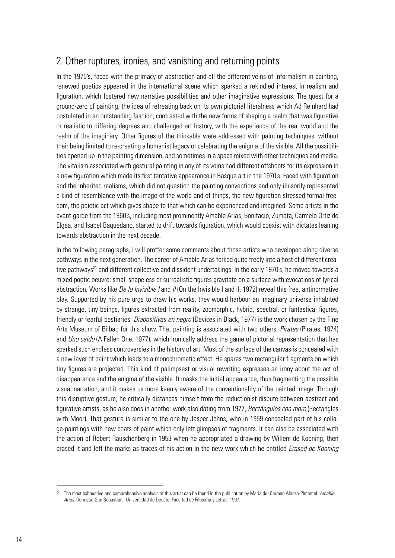### 2. Other ruptures, ironies, and vanishing and returning points

In the 1970's, faced with the primacy of abstraction and all the different veins of informalism in painting, renewed poetics appeared in the international scene which sparked a rekindled interest in realism and figuration, which fostered new narrative possibilities and other imaginative expressions. The quest for a ground-zero of painting, the idea of retreating back on its own pictorial literalness which Ad Reinhard had postulated in an outstanding fashion, contrasted with the new forms of shaping a realm that was figurative or realistic to differing degrees and challenged art history, with the experience of the real world and the realm of the imaginary. Other figures of the thinkable were addressed with painting techniques, without their being limited to re-creating a humanist legacy or celebrating the enigma of the visible. All the possibilities opened up in the painting dimension, and sometimes in a space mixed with other techniques and media. The vitalism associated with gestural painting in any of its veins had different offshoots for its expression in a new figuration which made its first tentative appearance in Basque art in the 1970's. Faced with figuration and the inherited realisms, which did not question the painting conventions and only illusorily represented a kind of resemblance with the image of the world and of things, the new figuration stressed formal freedom, the poietic act which gives shape to that which can be experienced and imagined. Some artists in the avant-garde from the 1960's, including most prominently Amable Arias, Bonifacio, Zumeta, Carmelo Ortiz de Elgea, and Isabel Baquedano, started to drift towards figuration, which would coexist with dictates leaning towards abstraction in the next decade.

In the following paragraphs, I will proffer some comments about those artists who developed along diverse pathways in the next generation. The career of Amable Arias forked quite freely into a host of different creative pathways<sup>21</sup> and different collective and dissident undertakings. In the early 1970's, he moved towards a mixed poetic oeuvre: small shapeless or surrealistic figures gravitate on a surface with evocations of lyrical abstraction. Works like *De lo Invisible I* and *II* (On the Invisible I and II, 1972) reveal this free, antinormative play. Supported by his pure urge to draw his works, they would harbour an imaginary universe inhabited by strange, tiny beings, figures extracted from reality, zoomorphic, hybrid, spectral, or fantastical figures, friendly or fearful bestiaries. *Diapositivas en negro* (Devices in Black, 1977) is the work chosen by the Fine Arts Museum of Bilbao for this show. That painting is associated with two others: *Piratas* (Pirates, 1974) and *Uno caído* (A Fallen One, 1977), which ironically address the game of pictorial representation that has sparked such endless controversies in the history of art. Most of the surface of the canvas is concealed with a new layer of paint which leads to a monochromatic effect. He spares two rectangular fragments on which tiny figures are projected. This kind of palimpsest or visual rewriting expresses an irony about the act of disappearance and the enigma of the visible. It masks the initial appearance, thus fragmenting the possible visual narration, and it makes us more keenly aware of the conventionality of the painted image. Through this disruptive gesture, he critically distances himself from the reductionist dispute between abstract and figurative artists, as he also does in another work also dating from 1977, *Rectángulos con moro* (Rectangles with Moor). That gesture is similar to the one by Jasper Johns, who in 1959 concealed part of his collage-paintings with new coats of paint which only left glimpses of fragments. It can also be associated with the action of Robert Rauschenberg in 1953 when he appropriated a drawing by Willem de Kooning, then erased it and left the marks as traces of his action in the new work which he entitled *Erased de Kooning* 

<sup>21</sup> The most exhaustive and comprehensive analysis of this artist can be found in the publication by Maria del Carmen Alonso-Pimentel. *Amable Arias*. Donostia-San Sebastián : Universidad de Deusto, Facultad de Filosofía y Letras, 1997.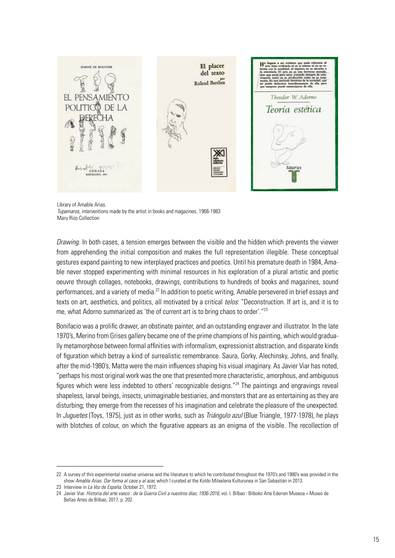

Library of Amable Arias.

*Tupamaros*, interventions made by the artist in books and magazines, 1966-1983 Maru Rizo Collection

*Drawing*. In both cases, a tension emerges between the visible and the hidden which prevents the viewer from apprehending the initial composition and makes the full representation illegible. These conceptual gestures expand painting to new interplayed practices and poetics. Until his premature death in 1984, Amable never stopped experimenting with minimal resources in his exploration of a plural artistic and poetic oeuvre through collages, notebooks, drawings, contributions to hundreds of books and magazines, sound performances, and a variety of media.<sup>22</sup> In addition to poetic writing, Amable persevered in brief essays and texts on art, aesthetics, and politics, all motivated by a critical *telos*: "Deconstruction. If art is, and it is to me, what Adorno summarized as 'the of current art is to bring chaos to order'."<sup>23</sup>

Bonifacio was a prolific drawer, an obstinate painter, and an outstanding engraver and illustrator. In the late 1970's, Merino from Grises gallery became one of the prime champions of his painting, which would gradually metamorphose between formal affinities with informalism, expressionist abstraction, and disparate kinds of figuration which betray a kind of surrealistic remembrance. Saura, Gorky, Alechinsky, Johns, and finally, after the mid-1980's, Matta were the main influences shaping his visual imaginary. As Javier Viar has noted, "perhaps his most original work was the one that presented more characteristic, amorphous, and ambiguous figures which were less indebted to others' recognizable designs."<sup>24</sup> The paintings and engravings reveal shapeless, larval beings, insects, unimaginable bestiaries, and monsters that are as entertaining as they are disturbing; they emerge from the recesses of his imagination and celebrate the pleasure of the unexpected. In *Juguetes* (Toys, 1975), just as in other works, such as *Triángulo azul* (Blue Triangle, 1977-1978), he plays with blotches of colour, on which the figurative appears as an enigma of the visible. The recollection of

<sup>22</sup> A survey of this experimental creative universe and the literature to which he contributed throughout the 1970's and 1980's was provided in the show *Amable Arias. Dar forma al caos y al azar,* which I curated at the Koldo Mitxelena Kulturunea in San Sebastián in 2013.

<sup>23</sup> Interview in *La Voz de España*, October 21, 1972.

<sup>24</sup> Javier Viar. *Historia del arte vasco : de la Guerra Civil a nuestros días, 1936-2016*, vol. I. Bilbao : Bilboko Arte Ederren Museoa = Museo de Bellas Artes de Bilbao, 2017, p. 202.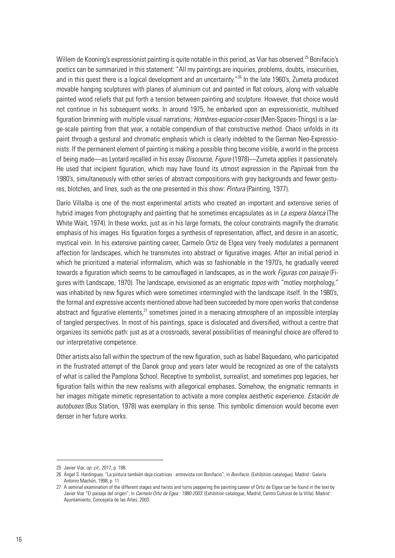Willem de Kooning's expressionist painting is quite notable in this period, as Viar has observed.<sup>25</sup> Bonifacio's poetics can be summarized in this statement: "All my paintings are inquiries, problems, doubts, insecurities, and in this quest there is a logical development and an uncertainty."<sup>26</sup> In the late 1960's, Zumeta produced movable hanging sculptures with planes of aluminium cut and painted in flat colours, along with valuable painted wood reliefs that put forth a tension between painting and sculpture. However, that choice would not continue in his subsequent works. In around 1975, he embarked upon an expressionistic, multihued figuration brimming with multiple visual narrations; *Hombres-espacios-cosas* (Men-Spaces-Things) is a large-scale painting from that year, a notable compendium of that constructive method. Chaos unfolds in its paint through a gestural and chromatic emphasis which is clearly indebted to the German Neo-Expressionists. If the permanent element of painting is making a possible thing become visible, a world in the process of being made—as Lyotard recalled in his essay *Discourse, Figure* (1978)—Zumeta applies it passionately. He used that incipient figuration, which may have found its utmost expression in the *Papiroak* from the 1980's, simultaneously with other series of abstract compositions with grey backgrounds and fewer gestures, blotches, and lines, such as the one presented in this show: *Pintura* (Painting, 1977).

Darío Villalba is one of the most experimental artists who created an important and extensive series of hybrid images from photography and painting that he sometimes encapsulates as in *La espera blanca* (The White Wait, 1974). In these works, just as in his large formats, the colour constraints magnify the dramatic emphasis of his images. His figuration forges a synthesis of representation, affect, and desire in an ascetic, mystical vein. In his extensive painting career, Carmelo Ortiz de Elgea very freely modulates a permanent affection for landscapes, which he transmutes into abstract or figurative images. After an initial period in which he prioritized a material informalism, which was so fashionable in the 1970's, he gradually veered towards a figuration which seems to be camouflaged in landscapes, as in the work *Figuras con paisaje* (Figures with Landscape, 1970). The landscape, envisioned as an enigmatic *topos* with "motley morphology," was inhabited by new figures which were sometimes intermingled with the landscape itself. In the 1980's, the formal and expressive accents mentioned above had been succeeded by more open works that condense abstract and figurative elements, $^{27}$  sometimes joined in a menacing atmosphere of an impossible interplay of tangled perspectives. In most of his paintings, space is dislocated and diversified, without a centre that organizes its semiotic path: just as at a crossroads, several possibilities of meaningful choice are offered to our interpretative competence.

Other artists also fall within the spectrum of the new figuration, such as Isabel Baquedano, who participated in the frustrated attempt of the Danok group and years later would be recognized as one of the catalysts of what is called the Pamplona School. Receptive to symbolist, surrealist, and sometimes pop legacies, her figuration falls within the new realisms with allegorical emphases. Somehow, the enigmatic remnants in her images mitigate mimetic representation to activate a more complex aesthetic experience. *Estación de autobuses* (Bus Station, 1978) was exemplary in this sense. This symbolic dimension would become even denser in her future works.

<sup>25</sup> Javier Viar, *op. cit.,* 2017, p. 198.

<sup>26</sup> Ángel S. Hardinguey. "La pintura también deja cicatrices : entrevista con Bonifacio", in *Bonifacio*. (Exhibition catalogue). Madrid : Galería Antonio Machón, 1998, p. 11.

<sup>27</sup> A seminal examination of the different stages and twists and turns peppering the painting career of Ortiz de Elgea can be found in the text by Javier Viar "El paisaje del origen", in *Carmelo Ortiz de Egea : 1980-2003*. (Exhibition catalogue, Madrid, Centro Cultural de la Villa). Madrid : Ayuntamiento, Concejalía de las Artes, 2003.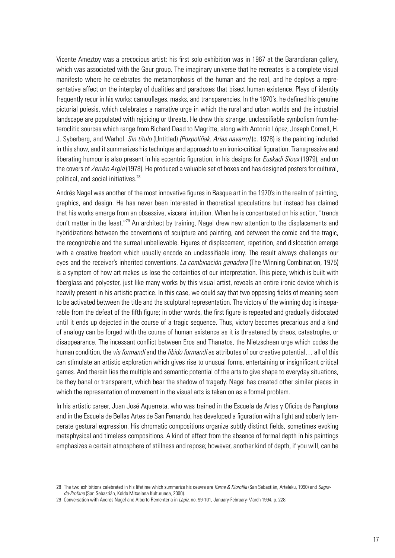Vicente Ameztoy was a precocious artist: his first solo exhibition was in 1967 at the Barandiaran gallery, which was associated with the Gaur group. The imaginary universe that he recreates is a complete visual manifesto where he celebrates the metamorphosis of the human and the real, and he deploys a representative affect on the interplay of dualities and paradoxes that bisect human existence. Plays of identity frequently recur in his works: camouflages, masks, and transparencies. In the 1970's, he defined his genuine pictorial poiesis, which celebrates a narrative urge in which the rural and urban worlds and the industrial landscape are populated with rejoicing or threats. He drew this strange, unclassifiable symbolism from heteroclitic sources which range from Richard Daad to Magritte, along with Antonio López, Joseph Cornell, H. J. Syberberg, and Warhol. *Sin título* (Untitled) *(Poxpoliñak. Arias navarro)* (c. 1978) is the painting included in this show, and it summarizes his technique and approach to an ironic-critical figuration. Transgressive and liberating humour is also present in his eccentric figuration, in his designs for *Euskadi Sioux* (1979), and on the covers of *Zeruko Argia* (1978). He produced a valuable set of boxes and has designed posters for cultural, political, and social initiatives.<sup>28</sup>

Andrés Nagel was another of the most innovative figures in Basque art in the 1970's in the realm of painting, graphics, and design. He has never been interested in theoretical speculations but instead has claimed that his works emerge from an obsessive, visceral intuition. When he is concentrated on his action, "trends don't matter in the least."<sup>29</sup> An architect by training, Nagel drew new attention to the displacements and hybridizations between the conventions of sculpture and painting, and between the comic and the tragic, the recognizable and the surreal unbelievable. Figures of displacement, repetition, and dislocation emerge with a creative freedom which usually encode an unclassifiable irony. The result always challenges our eyes and the receiver's inherited conventions. *La combinación ganadora* (The Winning Combination, 1975) is a symptom of how art makes us lose the certainties of our interpretation. This piece, which is built with fiberglass and polyester, just like many works by this visual artist, reveals an entire ironic device which is heavily present in his artistic practice. In this case, we could say that two opposing fields of meaning seem to be activated between the title and the sculptural representation. The victory of the winning dog is inseparable from the defeat of the fifth figure; in other words, the first figure is repeated and gradually dislocated until it ends up dejected in the course of a tragic sequence. Thus, victory becomes precarious and a kind of analogy can be forged with the course of human existence as it is threatened by chaos, catastrophe, or disappearance. The incessant conflict between Eros and Thanatos, the Nietzschean urge which codes the human condition, the *vis formandi* and the *libido formandi* as attributes of our creative potential… all of this can stimulate an artistic exploration which gives rise to unusual forms, entertaining or insignificant critical games. And therein lies the multiple and semantic potential of the arts to give shape to everyday situations, be they banal or transparent, which bear the shadow of tragedy. Nagel has created other similar pieces in which the representation of movement in the visual arts is taken on as a formal problem.

In his artistic career, Juan José Aquerreta, who was trained in the Escuela de Artes y Oficios de Pamplona and in the Escuela de Bellas Artes de San Fernando, has developed a figuration with a light and soberly temperate gestural expression. His chromatic compositions organize subtly distinct fields, sometimes evoking metaphysical and timeless compositions. A kind of effect from the absence of formal depth in his paintings emphasizes a certain atmosphere of stillness and repose; however, another kind of depth, if you will, can be

<sup>28</sup> The two exhibitions celebrated in his lifetime which summarize his oeuvre are *Karne & Klorofila* (San Sebastián, Arteleku, 1990) and *Sagrado-Profano* (San Sebastián, Koldo Mitxelena Kulturunea, 2000).

<sup>29</sup> Conversation with Andrés Nagel and Alberto Rementería in *Lápiz,* no. 99-101, January-February-March 1994, p. 228.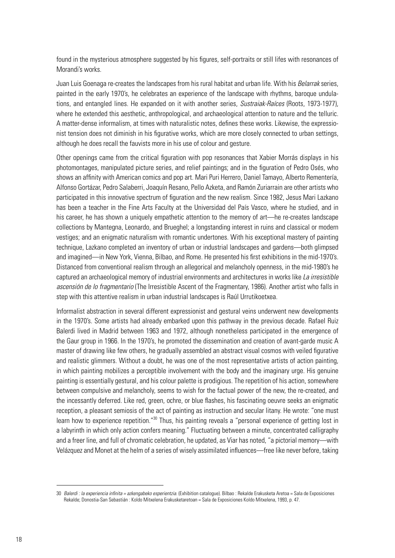found in the mysterious atmosphere suggested by his figures, self-portraits or still lifes with resonances of Morandi's works.

Juan Luis Goenaga re-creates the landscapes from his rural habitat and urban life. With his *Belarrak* series, painted in the early 1970's, he celebrates an experience of the landscape with rhythms, baroque undulations, and entangled lines. He expanded on it with another series, *Sustraiak-Raíces* (Roots, 1973-1977), where he extended this aesthetic, anthropological, and archaeological attention to nature and the telluric. A matter-dense informalism, at times with naturalistic notes, defines these works. Likewise, the expressionist tension does not diminish in his figurative works, which are more closely connected to urban settings, although he does recall the fauvists more in his use of colour and gesture.

Other openings came from the critical figuration with pop resonances that Xabier Morrás displays in his photomontages, manipulated picture series, and relief paintings; and in the figuration of Pedro Osés, who shows an affinity with American comics and pop art. Mari Puri Herrero, Daniel Tamayo, Alberto Rementería, Alfonso Gortázar, Pedro Salaberri, Joaquín Resano, Pello Azketa, and Ramón Zuriarrain are other artists who participated in this innovative spectrum of figuration and the new realism. Since 1982, Jesus Mari Lazkano has been a teacher in the Fine Arts Faculty at the Universidad del País Vasco, where he studied, and in his career, he has shown a uniquely empathetic attention to the memory of art—he re-creates landscape collections by Mantegna, Leonardo, and Brueghel; a longstanding interest in ruins and classical or modern vestiges; and an enigmatic naturalism with romantic undertones. With his exceptional mastery of painting technique, Lazkano completed an inventory of urban or industrial landscapes and gardens—both glimpsed and imagined—in New York, Vienna, Bilbao, and Rome. He presented his first exhibitions in the mid-1970's. Distanced from conventional realism through an allegorical and melancholy openness, in the mid-1980's he captured an archaeological memory of industrial environments and architectures in works like *La irresistible ascensión de lo fragmentario* (The Irresistible Ascent of the Fragmentary, 1986). Another artist who falls in step with this attentive realism in urban industrial landscapes is Raúl Urrutikoetxea.

Informalist abstraction in several different expressionist and gestural veins underwent new developments in the 1970's. Some artists had already embarked upon this pathway in the previous decade. Rafael Ruiz Balerdi lived in Madrid between 1963 and 1972, although nonetheless participated in the emergence of the Gaur group in 1966. In the 1970's, he promoted the dissemination and creation of avant-garde music A master of drawing like few others, he gradually assembled an abstract visual cosmos with veiled figurative and realistic glimmers. Without a doubt, he was one of the most representative artists of action painting, in which painting mobilizes a perceptible involvement with the body and the imaginary urge. His genuine painting is essentially gestural, and his colour palette is prodigious. The repetition of his action, somewhere between compulsive and melancholy, seems to wish for the factual power of the new, the re-created, and the incessantly deferred. Like red, green, ochre, or blue flashes, his fascinating oeuvre seeks an enigmatic reception, a pleasant semiosis of the act of painting as instruction and secular litany. He wrote: "one must learn how to experience repetition."<sup>30</sup> Thus, his painting reveals a "personal experience of getting lost in a labyrinth in which only action confers meaning." Fluctuating between a minute, concentrated calligraphy and a freer line, and full of chromatic celebration, he updated, as Viar has noted, "a pictorial memory—with Velázquez and Monet at the helm of a series of wisely assimilated influences—free like never before, taking

<sup>30</sup> *Balerdi : la experiencia infinita = azkengabeko esperientzia.* (Exhibition catalogue). Bilbao : Rekalde Erakusketa Aretoa = Sala de Exposiciones Rekalde; Donostia-San Sebastián : Koldo Mitxelena Erakusketaretoan = Sala de Exposiciones Koldo Mitxelena, 1993, p. 47.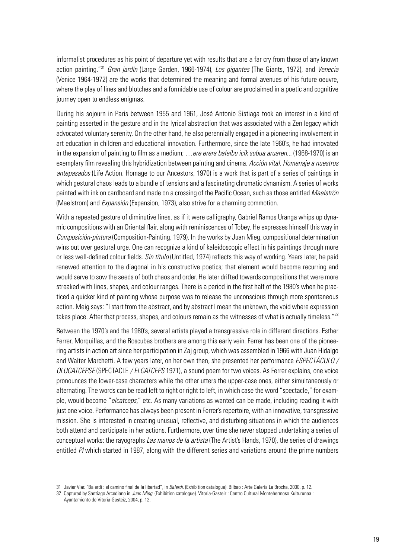informalist procedures as his point of departure yet with results that are a far cry from those of any known action painting."31 *Gran jardín* (Large Garden, 1966-1974), *Los gigantes* (The Giants, 1972), and *Venecia* (Venice 1964-1972) are the works that determined the meaning and formal avenues of his future oeuvre, where the play of lines and blotches and a formidable use of colour are proclaimed in a poetic and cognitive journey open to endless enigmas.

During his sojourn in Paris between 1955 and 1961, José Antonio Sistiaga took an interest in a kind of painting asserted in the gesture and in the lyrical abstraction that was associated with a Zen legacy which advocated voluntary serenity. On the other hand, he also perennially engaged in a pioneering involvement in art education in children and educational innovation. Furthermore, since the late 1960's, he had innovated in the expansion of painting to film as a medium; *…ere erera baleibu icik subua aruaren...* (1968-1970) is an exemplary film revealing this hybridization between painting and cinema. *Acción vital. Homenaje a nuestros antepasados* (Life Action. Homage to our Ancestors, 1970) is a work that is part of a series of paintings in which gestural chaos leads to a bundle of tensions and a fascinating chromatic dynamism. A series of works painted with ink on cardboard and made on a crossing of the Pacific Ocean, such as those entitled *Maelströn* (Maelstrom) and *Expansión* (Expansion, 1973), also strive for a charming commotion.

With a repeated gesture of diminutive lines, as if it were calligraphy, Gabriel Ramos Uranga whips up dynamic compositions with an Oriental flair, along with reminiscences of Tobey. He expresses himself this way in *Composición-pintura* (Composition-Painting, 1979). In the works by Juan Mieg, compositional determination wins out over gestural urge. One can recognize a kind of kaleidoscopic effect in his paintings through more or less well-defined colour fields. *Sin título* (Untitled, 1974) reflects this way of working. Years later, he paid renewed attention to the diagonal in his constructive poetics; that element would become recurring and would serve to sow the seeds of both chaos and order. He later drifted towards compositions that were more streaked with lines, shapes, and colour ranges. There is a period in the first half of the 1980's when he practiced a quicker kind of painting whose purpose was to release the unconscious through more spontaneous action. Meig says: "I start from the abstract, and by abstract I mean the unknown, the void where expression takes place. After that process, shapes, and colours remain as the witnesses of what is actually timeless."<sup>32</sup>

Between the 1970's and the 1980's, several artists played a transgressive role in different directions. Esther Ferrer, Morquillas, and the Roscubas brothers are among this early vein. Ferrer has been one of the pioneering artists in action art since her participation in Zaj group, which was assembled in 1966 with Juan Hidalgo and Walter Marchetti. A few years later, on her own then, she presented her performance *ESPECTÁCULO / OLUCATCEPSE* (SPECTACLE */ ELCATCEPS* 1971), a sound poem for two voices. As Ferrer explains, one voice pronounces the lower-case characters while the other utters the upper-case ones, either simultaneously or alternating. The words can be read left to right or right to left, in which case the word "spectacle," for example, would become "*elcatceps*," etc. As many variations as wanted can be made, including reading it with just one voice. Performance has always been present in Ferrer's repertoire, with an innovative, transgressive mission. She is interested in creating unusual, reflective, and disturbing situations in which the audiences both attend and participate in her actions. Furthermore, over time she never stopped undertaking a series of conceptual works: the rayographs *Las manos de la artista* (The Artist's Hands, 1970), the series of drawings entitled *PI* which started in 1987, along with the different series and variations around the prime numbers

<sup>31</sup> Javier Viar. "Balerdi : el camino final de la libertad", in *Balerdi*. (Exhibition catalogue). Bilbao : Arte Galería La Brocha, 2000, p. 12.

<sup>32</sup> Captured by Santiago Arcediano in *Juan Mieg*. (Exhibition catalogue). Vitoria-Gasteiz : Centro Cultural Montehermoso Kulturunea :

Ayuntamiento de Vitoria-Gasteiz, 2004, p. 12.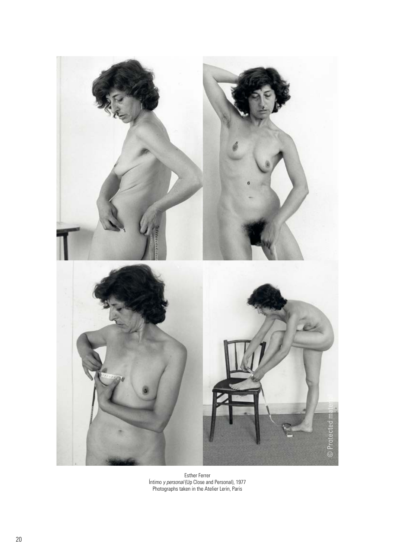

Esther Ferrer Íntimo *y personal* (Up Close and Personal), 1977 Photographs taken in the Atelier Lerin, Paris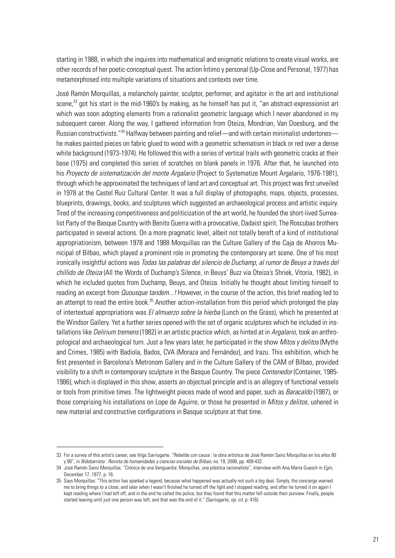starting in 1988, in which she inquires into mathematical and enigmatic relations to create visual works, are other records of her poetic-conceptual quest. The action Íntimo y personal (Up-Close and Personal, 1977) has metamorphosed into multiple variations of situations and contexts over time.

José Ramón Morquillas, a melancholy painter, sculptor, performer, and agitator in the art and institutional scene,<sup>33</sup> got his start in the mid-1960's by making, as he himself has put it, "an abstract-expressionist art which was soon adopting elements from a rationalist geometric language which I never abandoned in my subsequent career. Along the way, I gathered information from Oteiza, Mondrian, Van Doesburg, and the Russian constructivists."<sup>34</sup> Halfway between painting and relief—and with certain minimalist undertones he makes painted pieces on fabric glued to wood with a geometric schematism in black or red over a dense white background (1973-1974). He followed this with a series of vertical trails with geometric cracks at their base (1975) and completed this series of scratches on blank panels in 1976. After that, he launched into his *Proyecto de sistematización del monte Argalario* (Project to Systematize Mount Argalario, 1976-1981), through which he approximated the techniques of land art and conceptual art. This project was first unveiled in 1978 at the Castel Ruiz Cultural Center. It was a full display of photographs, maps, objects, processes, blueprints, drawings, books, and sculptures which suggested an archaeological process and artistic inquiry. Tired of the increasing competitiveness and politicization of the art world, he founded the short-lived Surrealist Party of the Basque Country with Benito Guerra with a provocative, Dadaist spirit. The Roscubas brothers participated in several actions. On a more pragmatic level, albeit not totally bereft of a kind of institutional appropriationism, between 1978 and 1988 Morquillas ran the Culture Gallery of the Caja de Ahorros Municipal of Bilbao, which played a prominent role in promoting the contemporary art scene. One of his most ironically insightful actions was *Todas las palabras del silencio de Duchamp, al rumor de Beuys a través del chillido de Oteiza* (All the Words of Duchamp's Silence, in Beuys' Buzz via Oteiza's Shriek, Vitoria, 1982), in which he included quotes from Duchamp, Beuys, and Oteiza. Initially he thought about limiting himself to reading an excerpt from *Quousque tandem...!* However, in the course of the action, this brief reading led to an attempt to read the entire book.<sup>35</sup> Another action-installation from this period which prolonged the play of intertextual appropriations was *El almuerzo sobre la hierba* (Lunch on the Grass), which he presented at the Windsor Gallery. Yet a further series opened with the set of organic sculptures which he included in installations like *Delirium tremens* (1982) in an artistic practice which, as hinted at in *Argalario*, took an anthropological and archaeological turn. Just a few years later, he participated in the show *Mitos y delitos* (Myths and Crimes, 1985) with Badiola, Bados, CVA (Moraza and Fernández), and Irazu. This exhibition, which he first presented in Barcelona's Metronom Gallery and in the Culture Gallery of the CAM of Bilbao, provided visibility to a shift in contemporary sculpture in the Basque Country. The piece *Contenedor* (Container, 1985- 1986), which is displayed in this show, asserts an objectual principle and is an allegory of functional vessels or tools from primitive times. The lightweight pieces made of wood and paper, such as *Baracaldo* (1987), or those comprising his installations on Lope de Aguirre, or those he presented in *Mitos y delitos*, ushered in new material and constructive configurations in Basque sculpture at that time.

<sup>33</sup> For a survey of this artist's career, see Iñigo Sarriugarte. "Rebelde con causa : la obra artística de José Ramón Sainz Morquillas en los años 80 y 90", in *Bidebarrieta : Revista de humanidades y ciencias sociales de Bilbao,* no. 19, 2008, pp. 409-432.

<sup>34</sup> José Ramón Sainz Morquillas. "Crónica de una Vanguardia. Morquillas, una plástica racionalista", interview with Ana María Guasch in *Egin*, December 17, 1977, p. 16.

<sup>35</sup> Says Morquillas: "This action has sparked a legend, because what happened was actually not such a big deal. Simply, the concierge warned me to bring things to a close, and later when I wasn't finished he turned off the light and I stopped reading, and after he turned it on again I kept reading where I had left off, and in the end he called the police, but they found that this matter fell outside their purview. Finally, people started leaving until just one person was left, and that was the end of it." (Sarriugarte, *op. cit*, p. 416).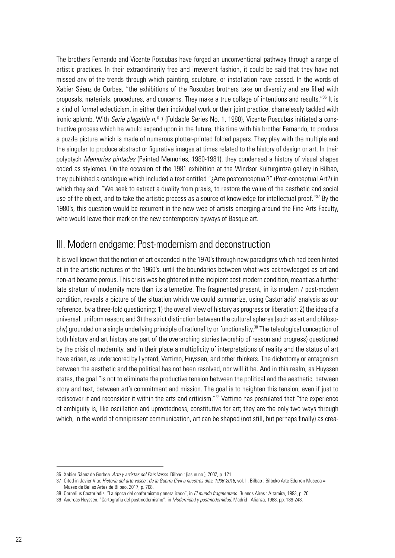The brothers Fernando and Vicente Roscubas have forged an unconventional pathway through a range of artistic practices. In their extraordinarily free and irreverent fashion, it could be said that they have not missed any of the trends through which painting, sculpture, or installation have passed. In the words of Xabier Sáenz de Gorbea, "the exhibitions of the Roscubas brothers take on diversity and are filled with proposals, materials, procedures, and concerns. They make a true collage of intentions and results."<sup>36</sup> It is a kind of formal eclecticism, in either their individual work or their joint practice, shamelessly tackled with ironic aplomb. With *Serie plegable n.º 1* (Foldable Series No. 1, 1980), Vicente Roscubas initiated a constructive process which he would expand upon in the future, this time with his brother Fernando, to produce a puzzle picture which is made of numerous plotter-printed folded papers. They play with the multiple and the singular to produce abstract or figurative images at times related to the history of design or art. In their polyptych *Memorias pintadas* (Painted Memories, 1980-1981), they condensed a history of visual shapes coded as stylemes. On the occasion of the 1981 exhibition at the Windsor Kulturgintza gallery in Bilbao, they published a catalogue which included a text entitled "¿Arte postconceptual?" (Post-conceptual Art?) in which they said: "We seek to extract a duality from praxis, to restore the value of the aesthetic and social use of the object, and to take the artistic process as a source of knowledge for intellectual proof."<sup>37</sup> By the 1980's, this question would be recurrent in the new web of artists emerging around the Fine Arts Faculty, who would leave their mark on the new contemporary byways of Basque art.

#### III. Modern endgame: Post-modernism and deconstruction

It is well known that the notion of art expanded in the 1970's through new paradigms which had been hinted at in the artistic ruptures of the 1960's, until the boundaries between what was acknowledged as art and non-art became porous. This crisis was heightened in the incipient post-modern condition, meant as a further late stratum of modernity more than its alternative. The fragmented present, in its modern / post-modern condition, reveals a picture of the situation which we could summarize, using Castoriadis' analysis as our reference, by a three-fold questioning: 1) the overall view of history as progress or liberation; 2) the idea of a universal, uniform reason; and 3) the strict distinction between the cultural spheres (such as art and philosophy) grounded on a single underlying principle of rationality or functionality.<sup>38</sup> The teleological conception of both history and art history are part of the overarching stories (worship of reason and progress) questioned by the crisis of modernity, and in their place a multiplicity of interpretations of reality and the status of art have arisen, as underscored by Lyotard, Vattimo, Huyssen, and other thinkers. The dichotomy or antagonism between the aesthetic and the political has not been resolved, nor will it be. And in this realm, as Huyssen states, the goal "is not to eliminate the productive tension between the political and the aesthetic, between story and text, between art's commitment and mission. The goal is to heighten this tension, even if just to rediscover it and reconsider it within the arts and criticism."<sup>39</sup> Vattimo has postulated that "the experience of ambiguity is, like oscillation and uprootedness, constitutive for art; they are the only two ways through which, in the world of omnipresent communication, art can be shaped (not still, but perhaps finally) as crea-

<sup>36</sup> Xabier Sáenz de Gorbea. *Arte y artistas del País Vasco*. Bilbao : (issue no.), 2002, p. 121.

<sup>37</sup> Cited in Javier Viar. *Historia del arte vasco : de la Guerra Civil a nuestros días, 1936-2016*, vol. II. Bilbao : Bilboko Arte Ederren Museoa = Museo de Bellas Artes de Bilbao, 2017, p. 708.

<sup>38</sup> Cornelius Castoriadis. "La época del conformismo generalizado", in *El mundo fragmentado*. Buenos Aires : Altamira, 1993, p. 20.

<sup>39</sup> Andreas Huyssen. "Cartografía del postmodernismo", in *Modernidad y postmodernidad*. Madrid : Alianza, 1988, pp. 189-248.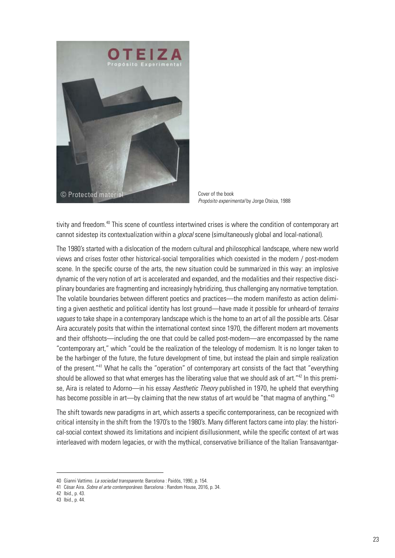

Cover of the book *Propósito experimental* by Jorge Oteiza, 1988

tivity and freedom.<sup>40</sup> This scene of countless intertwined crises is where the condition of contemporary art cannot sidestep its contextualization within a *glocal* scene (simultaneously global and local-national).

The 1980's started with a dislocation of the modern cultural and philosophical landscape, where new world views and crises foster other historical-social temporalities which coexisted in the modern / post-modern scene. In the specific course of the arts, the new situation could be summarized in this way: an implosive dynamic of the very notion of art is accelerated and expanded, and the modalities and their respective disciplinary boundaries are fragmenting and increasingly hybridizing, thus challenging any normative temptation. The volatile boundaries between different poetics and practices—the modern manifesto as action delimiting a given aesthetic and political identity has lost ground—have made it possible for unheard-of *terrains vagues* to take shape in a contemporary landscape which is the home to an art of all the possible arts. César Aira accurately posits that within the international context since 1970, the different modern art movements and their offshoots—including the one that could be called post-modern—are encompassed by the name "contemporary art," which "could be the realization of the teleology of modernism. It is no longer taken to be the harbinger of the future, the future development of time, but instead the plain and simple realization of the present."41 What he calls the "operation" of contemporary art consists of the fact that "everything should be allowed so that what emerges has the liberating value that we should ask of art."<sup>42</sup> In this premise, Aira is related to Adorno—in his essay *Aesthetic Theory* published in 1970, he upheld that everything has become possible in art—by claiming that the new status of art would be "that magma of anything."<sup>43</sup>

The shift towards new paradigms in art, which asserts a specific contemporariness, can be recognized with critical intensity in the shift from the 1970's to the 1980's. Many different factors came into play: the historical-social context showed its limitations and incipient disillusionment, while the specific context of art was interleaved with modern legacies, or with the mythical, conservative brilliance of the Italian Transavantgar-

<sup>40</sup> Gianni Vattimo. *La sociedad transparente*. Barcelona : Paidós, 1990, p. 154.

<sup>41</sup> César Aira. *Sobre el arte contemporáneo*. Barcelona : Random House, 2016, p. 34.

<sup>42</sup> Ibid., p. 43.

<sup>43</sup> Ibid., p. 44.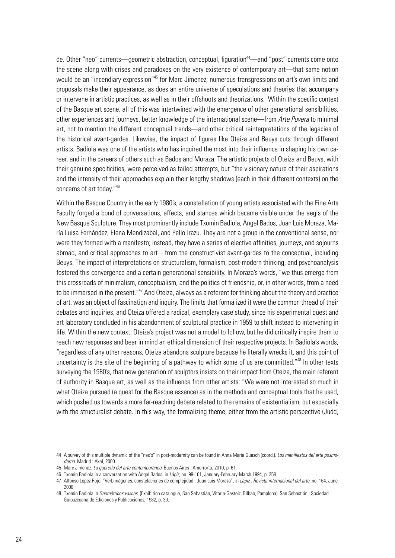de. Other "neo" currents—geometric abstraction, conceptual, figuration<sup>44</sup>—and "post" currents come onto the scene along with crises and paradoxes on the very existence of contemporary art—that same notion would be an "incendiary expression"45 for Marc Jimenez; numerous transgressions on art's own limits and proposals make their appearance, as does an entire universe of speculations and theories that accompany or intervene in artistic practices, as well as in their offshoots and theorizations. Within the specific context of the Basque art scene, all of this was intertwined with the emergence of other generational sensibilities, other experiences and journeys, better knowledge of the international scene—from *Arte Povera* to minimal art, not to mention the different conceptual trends—and other critical reinterpretations of the legacies of the historical avant-gardes. Likewise, the impact of figures like Oteiza and Beuys cuts through different artists. Badiola was one of the artists who has inquired the most into their influence in shaping his own career, and in the careers of others such as Bados and Moraza. The artistic projects of Oteiza and Beuys, with their genuine specificities, were perceived as failed attempts, but "the visionary nature of their aspirations and the intensity of their approaches explain their lengthy shadows (each in their different contexts) on the concerns of art today."46

Within the Basque Country in the early 1980's, a constellation of young artists associated with the Fine Arts Faculty forged a bond of conversations, affects, and stances which became visible under the aegis of the New Basque Sculpture. They most prominently include Txomin Badiola, Ángel Bados, Juan Luis Moraza, María Luisa Fernández, Elena Mendizabal, and Pello Irazu. They are not a group in the conventional sense, nor were they formed with a manifesto; instead, they have a series of elective affinities, journeys, and sojourns abroad, and critical approaches to art—from the constructivist avant-gardes to the conceptual, including Beuys. The impact of interpretations on structuralism, formalism, post-modern thinking, and psychoanalysis fostered this convergence and a certain generational sensibility. In Moraza's words, "we thus emerge from this crossroads of minimalism, conceptualism, and the politics of friendship, or, in other words, from a need to be immersed in the present."<sup>47</sup> And Oteiza, always as a referent for thinking about the theory and practice of art, was an object of fascination and inquiry. The limits that formalized it were the common thread of their debates and inquiries, and Oteiza offered a radical, exemplary case study, since his experimental quest and art laboratory concluded in his abandonment of sculptural practice in 1959 to shift instead to intervening in life. Within the new context, Oteiza's project was not a model to follow, but he did critically inspire them to reach new responses and bear in mind an ethical dimension of their respective projects. In Badiola's words, "regardless of any other reasons, Oteiza abandons sculpture because he literally wrecks it, and this point of uncertainty is the site of the beginning of a pathway to which some of us are committed."<sup>48</sup> In other texts surveying the 1980's, that new generation of sculptors insists on their impact from Oteiza, the main referent of authority in Basque art, as well as the influence from other artists: "We were not interested so much in what Oteiza pursued (a quest for the Basque essence) as in the methods and conceptual tools that he used, which pushed us towards a more far-reaching debate related to the remains of existentialism, but especially with the structuralist debate. In this way, the formalizing theme, either from the artistic perspective (Judd,

<sup>44</sup> A survey of this multiple dynamic of the "neo's" in post-modernity can be found in Anna Maria Guasch (coord.). *Los manifiestos del arte posmoderno*. Madrid : Akal, 2000.

<sup>45</sup> Marc Jimenez. *La querella del arte contemporáneo*. Buenos Aires : Amorrortu, 2010, p. 61.

<sup>46</sup> Txomin Badiola in a conversation with Ángel Bados, in *Lápiz,* no. 99-101, January-February-March 1994, p. 258.

<sup>47</sup> Alfonso López Rojo. "Verbimágenes, constelaciones de complejidad : Juan Luis Moraza", in *Lápiz : Revista internacional del arte*, no. 164, June 2000.

<sup>48</sup> Txomin Badiola in *Geométricos vascos*. (Exhibition catalogue, San Sebastián, Vitoria-Gasteiz, Bilbao, Pamplona). San Sebastián : Sociedad Guipuzcoana de Ediciones y Publicaciones, 1982, p. 30.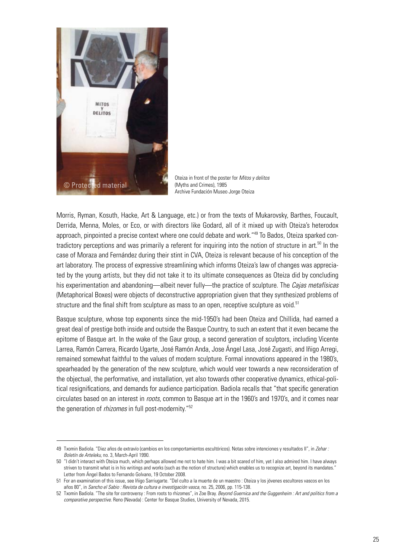

Oteiza in front of the poster for *Mitos y delitos* (Myths and Crimes), 1985 Archive Fundación Museo Jorge Oteiza

Morris, Ryman, Kosuth, Hacke, Art & Language, etc.) or from the texts of Mukarovsky, Barthes, Foucault, Derrida, Menna, Moles, or Eco, or with directors like Godard, all of it mixed up with Oteiza's heterodox approach, pinpointed a precise context where one could debate and work."<sup>49</sup> To Bados, Oteiza sparked contradictory perceptions and was primarily a referent for inquiring into the notion of structure in art.<sup>50</sup> In the case of Moraza and Fernández during their stint in CVA, Oteiza is relevant because of his conception of the art laboratory. The process of expressive streamlining which informs Oteiza's law of changes was appreciated by the young artists, but they did not take it to its ultimate consequences as Oteiza did by concluding his experimentation and abandoning—albeit never fully—the practice of sculpture. The *Cajas metafísicas* (Metaphorical Boxes) were objects of deconstructive appropriation given that they synthesized problems of structure and the final shift from sculpture as mass to an open, receptive sculpture as void.<sup>51</sup>

Basque sculpture, whose top exponents since the mid-1950's had been Oteiza and Chillida, had earned a great deal of prestige both inside and outside the Basque Country, to such an extent that it even became the epitome of Basque art. In the wake of the Gaur group, a second generation of sculptors, including Vicente Larrea, Ramón Carrera, Ricardo Ugarte, José Ramón Anda, Jose Ángel Lasa, José Zugasti, and Iñigo Arregi, remained somewhat faithful to the values of modern sculpture. Formal innovations appeared in the 1980's, spearheaded by the generation of the new sculpture, which would veer towards a new reconsideration of the objectual, the performative, and installation, yet also towards other cooperative dynamics, ethical-political resignifications, and demands for audience participation. Badiola recalls that "that specific generation circulates based on an interest in *roots*, common to Basque art in the 1960's and 1970's, and it comes near the generation of *rhizomes* in full post-modernity."52

<sup>49</sup> Txomin Badiola. "Diez años de extravío (cambios en los comportamientos escultóricos). Notas sobre intenciones y resultados II", in *Zehar : Boletín de Arteleku,* no. 3, March-April 1990.

<sup>50</sup> "I didn't interact with Oteiza much, which perhaps allowed me not to hate him. I was a bit scared of him, yet I also admired him. I have always striven to transmit what is in his writings and works (such as the notion of structure) which enables us to recognize art, beyond its mandates." Letter from Ángel Bados to Fernando Golvano, 19 October 2008.

<sup>51</sup> For an examination of this issue, see Iñigo Sarriugarte. "Del culto a la muerte de un maestro : Oteiza y los jóvenes escultores vascos en los años 80", in *Sancho el Sabio : Revista de cultura e investigación vasca,* no. 25, 2006, pp. 115-138.

<sup>52</sup> Txomin Badiola. "The site for controversy : From roots to rhizomes", in Zoe Bray. *Beyond Guernica and the Guggenheim : Art and politics from a comparative perspective.* Reno (Nevada) : Center for Basque Studies, University of Nevada, 2015.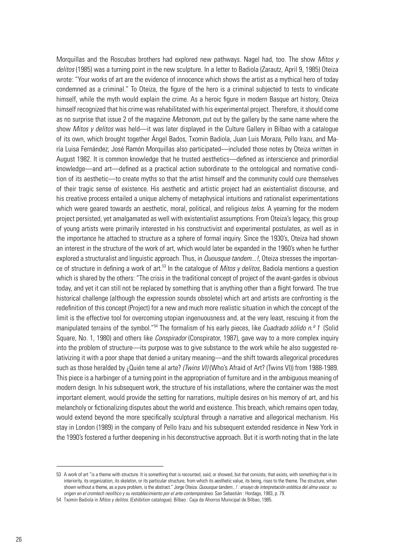Morquillas and the Roscubas brothers had explored new pathways. Nagel had, too. The show *Mitos y delitos* (1985) was a turning point in the new sculpture. In a letter to Badiola (Zarautz, April 9, 1985) Oteiza wrote: "Your works of art are the evidence of innocence which shows the artist as a mythical hero of today condemned as a criminal." To Oteiza, the figure of the hero is a criminal subjected to tests to vindicate himself, while the myth would explain the crime. As a heroic figure in modern Basque art history, Oteiza himself recognized that his crime was rehabilitated with his experimental project. Therefore, it should come as no surprise that issue 2 of the magazine *Metronom*, put out by the gallery by the same name where the show *Mitos y delitos* was held—it was later displayed in the Culture Gallery in Bilbao with a catalogue of its own, which brought together Ángel Bados, Txomin Badiola, Juan Luis Moraza, Pello Irazu, and María Luisa Fernández; José Ramón Morquillas also participated—included those notes by Oteiza written in August 1982. It is common knowledge that he trusted aesthetics—defined as interscience and primordial knowledge—and art—defined as a practical action subordinate to the ontological and normative condition of its aesthetic—to create myths so that the artist himself and the community could cure themselves of their tragic sense of existence. His aesthetic and artistic project had an existentialist discourse, and his creative process entailed a unique alchemy of metaphysical intuitions and rationalist experimentations which were geared towards an aesthetic, moral, political, and religious *telos*. A yearning for the modern project persisted, yet amalgamated as well with existentialist assumptions. From Oteiza's legacy, this group of young artists were primarily interested in his constructivist and experimental postulates, as well as in the importance he attached to structure as a sphere of formal inquiry. Since the 1930's, Oteiza had shown an interest in the structure of the work of art, which would later be expanded in the 1960's when he further explored a structuralist and linguistic approach. Thus, in *Quousque tandem...!*, Oteiza stresses the importance of structure in defining a work of art.53 In the catalogue of *Mitos y delitos,* Badiola mentions a question which is shared by the others: "The crisis in the traditional concept of project of the avant-gardes is obvious today, and yet it can still not be replaced by something that is anything other than a flight forward. The true historical challenge (although the expression sounds obsolete) which art and artists are confronting is the redefinition of this concept (Project) for a new and much more realistic situation in which the concept of the limit is the effective tool for overcoming utopian ingenuousness and, at the very least, rescuing it from the manipulated terrains of the symbol."54 The formalism of his early pieces, like *Cuadrado sólido n.º 1* (Solid Square, No. 1, 1980) and others like *Conspirador* (Conspirator, 1987), gave way to a more complex inquiry into the problem of structure—its purpose was to give substance to the work while he also suggested relativizing it with a poor shape that denied a unitary meaning—and the shift towards allegorical procedures such as those heralded by ¿Quién teme al arte? *(Twins VI)* (Who's Afraid of Art? (Twins VI)) from 1988-1989. This piece is a harbinger of a turning point in the appropriation of furniture and in the ambiguous meaning of modern design. In his subsequent work, the structure of his installations, where the container was the most important element, would provide the setting for narrations, multiple desires on his memory of art, and his melancholy or fictionalizing disputes about the world and existence. This breach, which remains open today, would extend beyond the more specifically sculptural through a narrative and allegorical mechanism. His stay in London (1989) in the company of Pello Irazu and his subsequent extended residence in New York in the 1990's fostered a further deepening in his deconstructive approach. But it is worth noting that in the late

<sup>53</sup> A work of art "is a theme with structure. It is something that is recounted, said, or showed, but that consists, that exists, with something that is its interiority, its organization, its skeleton, or its particular structure, from which its aesthetic value, its being, rises to the theme. The structure, when shown without a theme, as a pure problem, is the abstract." Jorge Oteiza. *Quousque tandem...! : ensayo de interpretación estética del alma vasca : su origen en el cromlech neolítico y su restablecimiento por el arte contemporáneo.* San Sebastián : Hordago, 1983, p. 79.

<sup>54</sup> Txomin Badiola in *Mitos y delitos*. (Exhibition catalogue). Bilbao : Caja de Ahorros Municipal de Bilbao, 1985.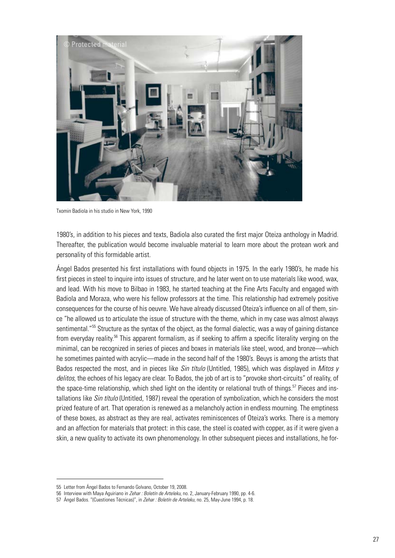

Txomin Badiola in his studio in New York, 1990

1980's, in addition to his pieces and texts, Badiola also curated the first major Oteiza anthology in Madrid. Thereafter, the publication would become invaluable material to learn more about the protean work and personality of this formidable artist.

Ángel Bados presented his first installations with found objects in 1975. In the early 1980's, he made his first pieces in steel to inquire into issues of structure, and he later went on to use materials like wood, wax, and lead. With his move to Bilbao in 1983, he started teaching at the Fine Arts Faculty and engaged with Badiola and Moraza, who were his fellow professors at the time. This relationship had extremely positive consequences for the course of his oeuvre. We have already discussed Oteiza's influence on all of them, since "he allowed us to articulate the issue of structure with the theme, which in my case was almost always sentimental."<sup>55</sup> Structure as the syntax of the object, as the formal dialectic, was a way of gaining distance from everyday reality.<sup>56</sup> This apparent formalism, as if seeking to affirm a specific literality verging on the minimal, can be recognized in series of pieces and boxes in materials like steel, wood, and bronze—which he sometimes painted with acrylic—made in the second half of the 1980's. Beuys is among the artists that Bados respected the most, and in pieces like *Sin título* (Untitled, 1985), which was displayed in *Mitos y delitos*, the echoes of his legacy are clear. To Bados, the job of art is to "provoke short-circuits" of reality, of the space-time relationship, which shed light on the identity or relational truth of things.<sup>57</sup> Pieces and installations like *Sin título* (Untitled, 1987) reveal the operation of symbolization, which he considers the most prized feature of art. That operation is renewed as a melancholy action in endless mourning. The emptiness of these boxes, as abstract as they are real, activates reminiscences of Oteiza's works. There is a memory and an affection for materials that protect: in this case, the steel is coated with copper, as if it were given a skin, a new quality to activate its own phenomenology. In other subsequent pieces and installations, he for-

<sup>55</sup> Letter from Ángel Bados to Fernando Golvano, October 19, 2008.

<sup>56</sup> Interview with Maya Aguiriano in *Zehar : Boletín de Arteleku,* no. 2, January-February 1990, pp. 4-6.

<sup>57</sup> Ángel Bados. "(Cuestiones Técnicas)", in *Zehar : Boletín de Arteleku*, no. 25, May-June 1994, p. 18.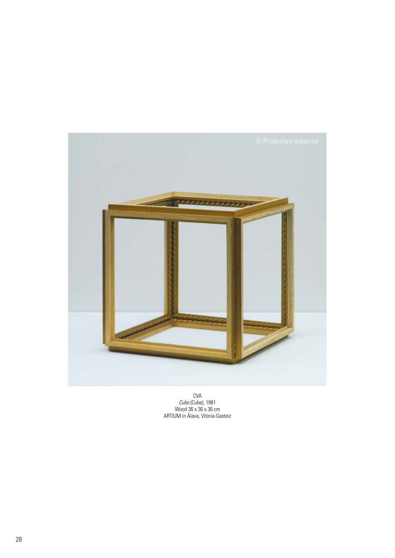

CVA *Cubo* (Cube), 1981 Wood 36 x 36 x 36 cm ARTIUM in Álava, Vitoria-Gasteiz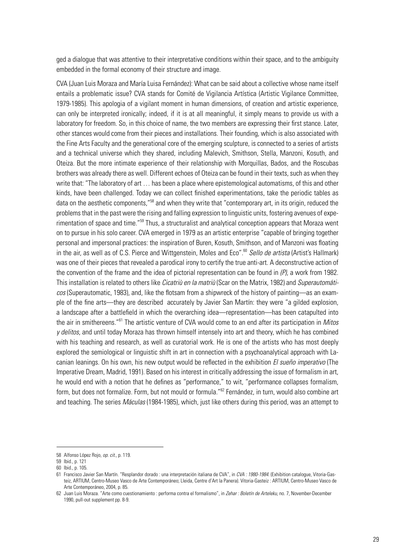ged a dialogue that was attentive to their interpretative conditions within their space, and to the ambiguity embedded in the formal economy of their structure and image.

CVA (Juan Luis Moraza and María Luisa Fernández): What can be said about a collective whose name itself entails a problematic issue? CVA stands for Comité de Vigilancia Artística (Artistic Vigilance Committee, 1979-1985). This apologia of a vigilant moment in human dimensions, of creation and artistic experience, can only be interpreted ironically; indeed, if it is at all meaningful, it simply means to provide us with a laboratory for freedom. So, in this choice of name, the two members are expressing their first stance. Later, other stances would come from their pieces and installations. Their founding, which is also associated with the Fine Arts Faculty and the generational core of the emerging sculpture, is connected to a series of artists and a technical universe which they shared, including Malevich, Smithson, Stella, Manzoni, Kosuth, and Oteiza. But the more intimate experience of their relationship with Morquillas, Bados, and the Roscubas brothers was already there as well. Different echoes of Oteiza can be found in their texts, such as when they write that: "The laboratory of art … has been a place where epistemological automatisms, of this and other kinds, have been challenged. Today we can collect finished experimentations, take the periodic tables as data on the aesthetic components,"<sup>58</sup> and when they write that "contemporary art, in its origin, reduced the problems that in the past were the rising and falling expression to linguistic units, fostering avenues of experimentation of space and time."59 Thus, a structuralist and analytical conception appears that Moraza went on to pursue in his solo career. CVA emerged in 1979 as an artistic enterprise "capable of bringing together personal and impersonal practices: the inspiration of Buren, Kosuth, Smithson, and of Manzoni was floating in the air, as well as of C.S. Pierce and Wittgenstein, Moles and Eco".<sup>60</sup> *Sello de artista* (Artist's Hallmark) was one of their pieces that revealed a parodical irony to certify the true anti-art. A deconstructive action of the convention of the frame and the idea of pictorial representation can be found in *(P)*, a work from 1982. This installation is related to others like *Cicatriù en la matriù* (Scar on the Matrix, 1982) and *Superautomáticos* (Superautomatic, 1983), and, like the flotsam from a shipwreck of the history of painting—as an example of the fine arts—they are described accurately by Javier San Martín: they were "a gilded explosion, a landscape after a battlefield in which the overarching idea—representation—has been catapulted into the air in smithereens."61 The artistic venture of CVA would come to an end after its participation in *Mitos y delitos*, and until today Moraza has thrown himself intensely into art and theory, which he has combined with his teaching and research, as well as curatorial work. He is one of the artists who has most deeply explored the semiological or linguistic shift in art in connection with a psychoanalytical approach with Lacanian leanings. On his own, his new output would be reflected in the exhibition *El sueño imperativo* (The Imperative Dream, Madrid, 1991). Based on his interest in critically addressing the issue of formalism in art, he would end with a notion that he defines as "performance," to wit, "performance collapses formalism, form, but does not formalize. Form, but not mould or formula."<sup>62</sup> Fernández, in turn, would also combine art and teaching. The series *Máculas* (1984-1985), which, just like others during this period, was an attempt to

<sup>58</sup> Alfonso López Rojo, *op. cit.,* p. 119.

<sup>59</sup> Ibid., p. 121

<sup>60</sup> Ibid., p. 105.

<sup>61</sup> Francisco Javier San Martín. "Resplandor dorado : una interpretación italiana de CVA", in *CVA : 1980-1984.* (Exhibition catalogue, Vitoria-Gasteiz, ARTIUM, Centro-Museo Vasco de Arte Contemporáneo; Lleida, Centre d'Art la Panera). Vitoria-Gasteiz : ARTIUM, Centro-Museo Vasco de Arte Contemporáneo, 2004, p. 85.

<sup>62</sup> Juan Luis Moraza. "Arte como cuestionamiento : performa contra el formalismo", in *Zehar : Boletín de Arteleku*, no. 7, November-December 1990, pull-out supplement pp. 8-9.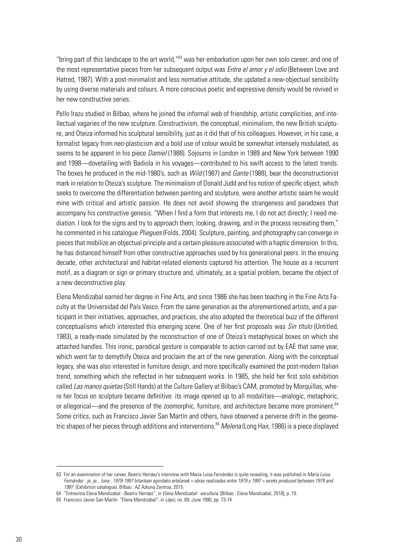"bring part of this landscape to the art world,"<sup>63</sup> was her embarkation upon her own solo career, and one of the most representative pieces from her subsequent output was *Entre el amor y el odio* (Between Love and Hatred, 1987). With a post-minimalist and less normative attitude, she updated a new-objectual sensibility by using diverse materials and colours. A more conscious poetic and expressive density would be revived in her new constructive series.

Pello Irazu studied in Bilbao, where he joined the informal web of friendship, artistic complicities, and intellectual vagaries of the new sculpture. Constructivism, the conceptual, minimalism, the new British sculpture, and Oteiza informed his sculptural sensibility, just as it did that of his colleagues. However, in his case, a formalist legacy from neo-plasticism and a bold use of colour would be somewhat intensely modulated, as seems to be apparent in his piece *Damiel* (1988). Sojourns in London in 1989 and New York between 1990 and 1998—dovetailing with Badiola in his voyages—contributed to his swift access to the latest trends. The boxes he produced in the mid-1980's, such as *Wild* (1987) and *Gante* (1988), bear the deconstructionist mark in relation to Oteiza's sculpture. The minimalism of Donald Judd and his notion of specific object, which seeks to overcome the differentiation between painting and sculpture, were another artistic seam he would mine with critical and artistic passion. He does not avoid showing the strangeness and paradoxes that accompany his constructive genesis. "When I find a form that interests me, I do not act directly; I need mediation. I look for the signs and try to approach them; looking, drawing, and in the process recreating them," he commented in his catalogue *Pliegues* (Folds, 2004). Sculpture, painting, and photography can converge in pieces that mobilize an objectual principle and a certain pleasure associated with a haptic dimension. In this, he has distanced himself from other constructive approaches used by his generational peers. In the ensuing decade, other architectural and habitat-related elements captured his attention. The house as a recurrent motif, as a diagram or sign or primary structure and, ultimately, as a spatial problem, became the object of a new deconstructive play.

Elena Mendizabal earned her degree in Fine Arts, and since 1986 she has been teaching in the Fine Arts Faculty at the Universidad del País Vasco. From the same generation as the aforementioned artists, and a participant in their initiatives, approaches, and practices, she also adopted the theoretical buzz of the different conceptualisms which interested this emerging scene. One of her first proposals was *Sin título* (Untitled, 1983), a ready-made simulated by the reconstruction of one of Oteiza's metaphysical boxes on which she attached handles. This ironic, parodical gesture is comparable to action carried out by EAE that same year, which went far to demythify Oteiza and proclaim the art of the new generation. Along with the conceptual legacy, she was also interested in furniture design, and more specifically examined the post-modern Italian trend, something which she reflected in her subsequent works. In 1985, she held her first solo exhibition called *Las manos quietas* (Still Hands) at the Culture Gallery at Bilbao's CAM, promoted by Morquillas, where her focus on sculpture became definitive: its image opened up to all modalities—analogic, metaphoric, or allegorical—and the presence of the zoomorphic, furniture, and architecture became more prominent.<sup>64</sup> Some critics, such as Francisco Javier San Martín and others, have observed a perverse drift in the geometric shapes of her pieces through additions and interventions.<sup>65</sup> *Melena* (Long Hair, 1986) is a piece displayed

<sup>63</sup> For an examination of her career, Beatriz Herráez's interview with María Luisa Fernández is quite revealing; it was published in *María Luisa Fernández : je, je... luna : 1979-1997 bitartean egindako artelanak = obras realizadas entre 1979 y 1997 = works produced between 1979 and 1997*. (Exhibition catalogue). Bilbao : AZ Azkuna Zentroa, 2015.

<sup>64</sup> "Entrevista Elena Mendizabal - Beatriz Herráez", in *Elena Mendizabal : escultura*. [Bilbao : Elena Mendizabal, 2018], p. 19.

<sup>65</sup> Francisco Javier San Martín. "Elena Mendizabal", in *Lápiz*, no. 69, June 1990, pp. 73-74.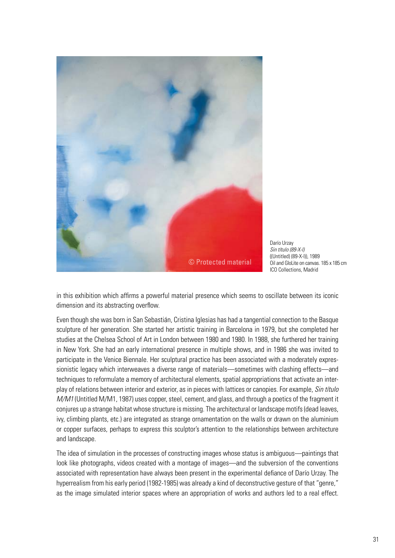

Darío Urzay *Sin título (89-X-I)* ((Untitled) (89-X-I)), 1989 Oil and GloLite on canvas. 185 x 185 cm ICO Collections, Madrid

in this exhibition which affirms a powerful material presence which seems to oscillate between its iconic dimension and its abstracting overflow.

Even though she was born in San Sebastián, Cristina Iglesias has had a tangential connection to the Basque sculpture of her generation. She started her artistic training in Barcelona in 1979, but she completed her studies at the Chelsea School of Art in London between 1980 and 1980. In 1988, she furthered her training in New York. She had an early international presence in multiple shows, and in 1986 she was invited to participate in the Venice Biennale. Her sculptural practice has been associated with a moderately expressionistic legacy which interweaves a diverse range of materials—sometimes with clashing effects—and techniques to reformulate a memory of architectural elements, spatial appropriations that activate an interplay of relations between interior and exterior, as in pieces with lattices or canopies. For example, *Sin título M/M1* (Untitled M/M1, 1987) uses copper, steel, cement, and glass, and through a poetics of the fragment it conjures up a strange habitat whose structure is missing. The architectural or landscape motifs (dead leaves, ivy, climbing plants, etc.) are integrated as strange ornamentation on the walls or drawn on the aluminium or copper surfaces, perhaps to express this sculptor's attention to the relationships between architecture and landscape.

The idea of simulation in the processes of constructing images whose status is ambiguous—paintings that look like photographs, videos created with a montage of images—and the subversion of the conventions associated with representation have always been present in the experimental defiance of Darío Urzay. The hyperrealism from his early period (1982-1985) was already a kind of deconstructive gesture of that "genre," as the image simulated interior spaces where an appropriation of works and authors led to a real effect.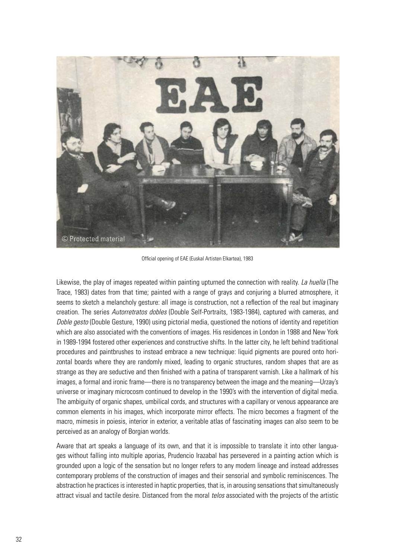

Official opening of EAE (Euskal Artisten Elkartea), 1983

Likewise, the play of images repeated within painting upturned the connection with reality. *La huella* (The Trace, 1983) dates from that time; painted with a range of grays and conjuring a blurred atmosphere, it seems to sketch a melancholy gesture: all image is construction, not a reflection of the real but imaginary creation. The series *Autorretratos dobles* (Double Self-Portraits, 1983-1984), captured with cameras, and *Doble gesto* (Double Gesture, 1990) using pictorial media, questioned the notions of identity and repetition which are also associated with the conventions of images. His residences in London in 1988 and New York in 1989-1994 fostered other experiences and constructive shifts. In the latter city, he left behind traditional procedures and paintbrushes to instead embrace a new technique: liquid pigments are poured onto horizontal boards where they are randomly mixed, leading to organic structures, random shapes that are as strange as they are seductive and then finished with a patina of transparent varnish. Like a hallmark of his images, a formal and ironic frame—there is no transparency between the image and the meaning—Urzay's universe or imaginary microcosm continued to develop in the 1990's with the intervention of digital media. The ambiguity of organic shapes, umbilical cords, and structures with a capillary or venous appearance are common elements in his images, which incorporate mirror effects. The micro becomes a fragment of the macro, mimesis in poiesis, interior in exterior, a veritable atlas of fascinating images can also seem to be perceived as an analogy of Borgian worlds.

Aware that art speaks a language of its own, and that it is impossible to translate it into other languages without falling into multiple aporias, Prudencio Irazabal has persevered in a painting action which is grounded upon a logic of the sensation but no longer refers to any modern lineage and instead addresses contemporary problems of the construction of images and their sensorial and symbolic reminiscences. The abstraction he practices is interested in haptic properties, that is, in arousing sensations that simultaneously attract visual and tactile desire. Distanced from the moral *telos* associated with the projects of the artistic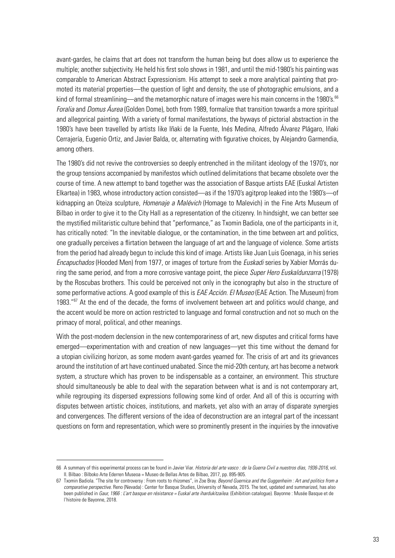avant-gardes, he claims that art does not transform the human being but does allow us to experience the multiple; another subjectivity. He held his first solo shows in 1981, and until the mid-1980's his painting was comparable to American Abstract Expressionism. His attempt to seek a more analytical painting that promoted its material properties—the question of light and density, the use of photographic emulsions, and a kind of formal streamlining—and the metamorphic nature of images were his main concerns in the 1980's.<sup>66</sup> *Foralia* and *Domus Áurea* (Golden Dome), both from 1989, formalize that transition towards a more spiritual and allegorical painting. With a variety of formal manifestations, the byways of pictorial abstraction in the 1980's have been travelled by artists like Iñaki de la Fuente, Inés Medina, Alfredo Álvarez Plágaro, Iñaki Cerrajería, Eugenio Ortiz, and Javier Balda, or, alternating with figurative choices, by Alejandro Garmendia, among others.

The 1980's did not revive the controversies so deeply entrenched in the militant ideology of the 1970's, nor the group tensions accompanied by manifestos which outlined delimitations that became obsolete over the course of time. A new attempt to band together was the association of Basque artists EAE (Euskal Artisten Elkartea) in 1983, whose introductory action consisted—as if the 1970's agitprop leaked into the 1980's—of kidnapping an Oteiza sculpture, *Homenaje a Malévich* (Homage to Malevich) in the Fine Arts Museum of Bilbao in order to give it to the City Hall as a representation of the citizenry. In hindsight, we can better see the mystified militaristic culture behind that "performance," as Txomin Badiola, one of the participants in it, has critically noted: "In the inevitable dialogue, or the contamination, in the time between art and politics, one gradually perceives a flirtation between the language of art and the language of violence. Some artists from the period had already begun to include this kind of image. Artists like Juan Luis Goenaga, in his series *Encapuchados* (Hooded Men) from 1977, or images of torture from the *Euskadi* series by Xabier Morrás during the same period, and from a more corrosive vantage point, the piece *Super Hero Euskaldunzarra* (1978) by the Roscubas brothers. This could be perceived not only in the iconography but also in the structure of some performative actions. A good example of this is *EAE Acción. El Museo* (EAE Action. The Museum) from 1983."<sup>67</sup> At the end of the decade, the forms of involvement between art and politics would change, and the accent would be more on action restricted to language and formal construction and not so much on the primacy of moral, political, and other meanings.

With the post-modern declension in the new contemporariness of art, new disputes and critical forms have emerged—experimentation with and creation of new languages—yet this time without the demand for a utopian civilizing horizon, as some modern avant-gardes yearned for. The crisis of art and its grievances around the institution of art have continued unabated. Since the mid-20th century, art has become a network system, a structure which has proven to be indispensable as a container, an environment. This structure should simultaneously be able to deal with the separation between what is and is not contemporary art, while regrouping its dispersed expressions following some kind of order. And all of this is occurring with disputes between artistic choices, institutions, and markets, yet also with an array of disparate synergies and convergences. The different versions of the idea of deconstruction are an integral part of the incessant questions on form and representation, which were so prominently present in the inquiries by the innovative

<sup>66</sup> A summary of this experimental process can be found in Javier Viar. *Historia del arte vasco : de la Guerra Civil a nuestros días, 1936-2016*, vol. II. Bilbao : Bilboko Arte Ederren Museoa = Museo de Bellas Artes de Bilbao, 2017, pp. 895-905.

<sup>67</sup> Txomin Badiola. "The site for controversy : From roots to rhizomes", in Zoe Bray. *Beyond Guernica and the Guggenheim : Art and politics from a comparative perspective.* Reno (Nevada) : Center for Basque Studies, University of Nevada, 2015. The text, updated and summarized, has also been published in *Gaur, 1966 : L'art basque en résistance = Euskal arte ihardukitzailea*. (Exhibition catalogue). Bayonne : Musée Basque et de l'histoire de Bayonne, 2018.